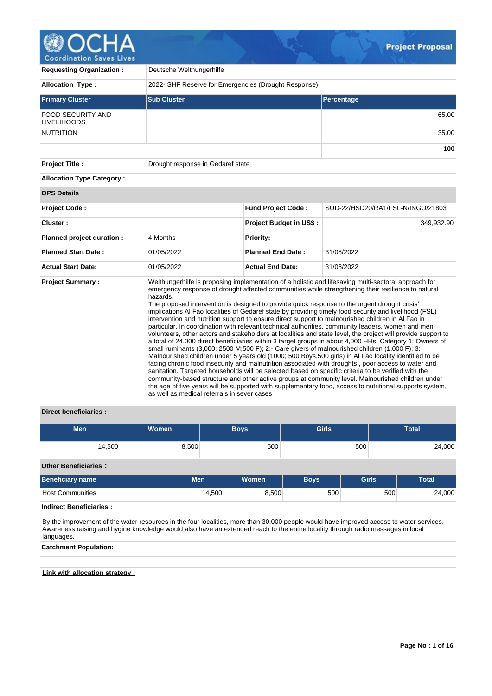# OCHA 0 Coordination Saves Lives

| <b>Requesting Organization:</b>                | Deutsche Welthungerhilfe                                |                                |                                                                                                                                                                                                                                                                                                                                                                                                                                                                                                                                                                                                                                                                                                                                                                                                                                                                                                                                                                                                                                                                                                                                                                                                                                                                                                                                                                                                                                                                                                     |  |  |  |  |  |  |  |
|------------------------------------------------|---------------------------------------------------------|--------------------------------|-----------------------------------------------------------------------------------------------------------------------------------------------------------------------------------------------------------------------------------------------------------------------------------------------------------------------------------------------------------------------------------------------------------------------------------------------------------------------------------------------------------------------------------------------------------------------------------------------------------------------------------------------------------------------------------------------------------------------------------------------------------------------------------------------------------------------------------------------------------------------------------------------------------------------------------------------------------------------------------------------------------------------------------------------------------------------------------------------------------------------------------------------------------------------------------------------------------------------------------------------------------------------------------------------------------------------------------------------------------------------------------------------------------------------------------------------------------------------------------------------------|--|--|--|--|--|--|--|
| <b>Allocation Type:</b>                        | 2022- SHF Reserve for Emergencies (Drought Response)    |                                |                                                                                                                                                                                                                                                                                                                                                                                                                                                                                                                                                                                                                                                                                                                                                                                                                                                                                                                                                                                                                                                                                                                                                                                                                                                                                                                                                                                                                                                                                                     |  |  |  |  |  |  |  |
| <b>Primary Cluster</b>                         | <b>Sub Cluster</b>                                      |                                | Percentage                                                                                                                                                                                                                                                                                                                                                                                                                                                                                                                                                                                                                                                                                                                                                                                                                                                                                                                                                                                                                                                                                                                                                                                                                                                                                                                                                                                                                                                                                          |  |  |  |  |  |  |  |
| <b>FOOD SECURITY AND</b><br><b>LIVELIHOODS</b> |                                                         |                                | 65.00                                                                                                                                                                                                                                                                                                                                                                                                                                                                                                                                                                                                                                                                                                                                                                                                                                                                                                                                                                                                                                                                                                                                                                                                                                                                                                                                                                                                                                                                                               |  |  |  |  |  |  |  |
| <b>NUTRITION</b>                               |                                                         |                                | 35.00                                                                                                                                                                                                                                                                                                                                                                                                                                                                                                                                                                                                                                                                                                                                                                                                                                                                                                                                                                                                                                                                                                                                                                                                                                                                                                                                                                                                                                                                                               |  |  |  |  |  |  |  |
|                                                |                                                         |                                | 100                                                                                                                                                                                                                                                                                                                                                                                                                                                                                                                                                                                                                                                                                                                                                                                                                                                                                                                                                                                                                                                                                                                                                                                                                                                                                                                                                                                                                                                                                                 |  |  |  |  |  |  |  |
| <b>Project Title:</b>                          | Drought response in Gedaref state                       |                                |                                                                                                                                                                                                                                                                                                                                                                                                                                                                                                                                                                                                                                                                                                                                                                                                                                                                                                                                                                                                                                                                                                                                                                                                                                                                                                                                                                                                                                                                                                     |  |  |  |  |  |  |  |
| <b>Allocation Type Category:</b>               |                                                         |                                |                                                                                                                                                                                                                                                                                                                                                                                                                                                                                                                                                                                                                                                                                                                                                                                                                                                                                                                                                                                                                                                                                                                                                                                                                                                                                                                                                                                                                                                                                                     |  |  |  |  |  |  |  |
| <b>OPS Details</b>                             |                                                         |                                |                                                                                                                                                                                                                                                                                                                                                                                                                                                                                                                                                                                                                                                                                                                                                                                                                                                                                                                                                                                                                                                                                                                                                                                                                                                                                                                                                                                                                                                                                                     |  |  |  |  |  |  |  |
| <b>Project Code:</b>                           |                                                         | <b>Fund Project Code:</b>      | SUD-22/HSD20/RA1/FSL-N/INGO/21803                                                                                                                                                                                                                                                                                                                                                                                                                                                                                                                                                                                                                                                                                                                                                                                                                                                                                                                                                                                                                                                                                                                                                                                                                                                                                                                                                                                                                                                                   |  |  |  |  |  |  |  |
| Cluster:                                       |                                                         | <b>Project Budget in US\$:</b> | 349,932.90                                                                                                                                                                                                                                                                                                                                                                                                                                                                                                                                                                                                                                                                                                                                                                                                                                                                                                                                                                                                                                                                                                                                                                                                                                                                                                                                                                                                                                                                                          |  |  |  |  |  |  |  |
| Planned project duration :                     | 4 Months                                                | Priority:                      |                                                                                                                                                                                                                                                                                                                                                                                                                                                                                                                                                                                                                                                                                                                                                                                                                                                                                                                                                                                                                                                                                                                                                                                                                                                                                                                                                                                                                                                                                                     |  |  |  |  |  |  |  |
| <b>Planned Start Date:</b>                     | 01/05/2022                                              | <b>Planned End Date:</b>       | 31/08/2022                                                                                                                                                                                                                                                                                                                                                                                                                                                                                                                                                                                                                                                                                                                                                                                                                                                                                                                                                                                                                                                                                                                                                                                                                                                                                                                                                                                                                                                                                          |  |  |  |  |  |  |  |
| <b>Actual Start Date:</b>                      | 01/05/2022                                              | <b>Actual End Date:</b>        | 31/08/2022                                                                                                                                                                                                                                                                                                                                                                                                                                                                                                                                                                                                                                                                                                                                                                                                                                                                                                                                                                                                                                                                                                                                                                                                                                                                                                                                                                                                                                                                                          |  |  |  |  |  |  |  |
| <b>Project Summary:</b>                        | hazards.<br>as well as medical referrals in sever cases |                                | Welthungerhilfe is proposing implementation of a holistic and lifesaving multi-sectoral approach for<br>emergency response of drought affected communities while strengthening their resilience to natural<br>The proposed intervention is designed to provide quick response to the urgent drought crisis'<br>implications AI Fao localities of Gedaref state by providing timely food security and livelihood (FSL)<br>intervention and nutrition support to ensure direct support to malnourished children in Al Fao in<br>particular. In coordination with relevant technical authorities, community leaders, women and men<br>volunteers, other actors and stakeholders at localities and state level, the project will provide support to<br>a total of 24,000 direct beneficiaries within 3 target groups in about 4,000 HHs. Category 1: Owners of<br>small ruminants (3,000; 2500 M;500 F); 2:- Care givers of malnourished children (1,000 F); 3:<br>Malnourished children under 5 years old (1000; 500 Boys, 500 girls) in Al Fao locality identified to be<br>facing chronic food insecurity and malnutrition associated with droughts, poor access to water and<br>sanitation. Targeted households will be selected based on specific criteria to be verified with the<br>community-based structure and other active groups at community level. Malnourished children under<br>the age of five years will be supported with supplementary food, access to nutritional supports system, |  |  |  |  |  |  |  |

# **Direct beneficiaries :**

| <b>Men</b> | <b>Women</b> | Boys, | <b>Girls</b> | <b>Total</b> |
|------------|--------------|-------|--------------|--------------|
| 14,500     | 8,500        | 500   | 500          | 24,000       |

**Other Beneficiaries :**

| <b>Beneficiary name</b>                                                                                                                                                                                                                                                                  | <b>Men</b> | Women | <b>Boys</b> | <b>Girls</b> | <b>Total</b> |  |  |  |  |  |  |  |
|------------------------------------------------------------------------------------------------------------------------------------------------------------------------------------------------------------------------------------------------------------------------------------------|------------|-------|-------------|--------------|--------------|--|--|--|--|--|--|--|
| <b>Host Communities</b>                                                                                                                                                                                                                                                                  | 14.500     | 8.500 | 500         | 500          | 24.000       |  |  |  |  |  |  |  |
| <b>Indirect Beneficiaries:</b>                                                                                                                                                                                                                                                           |            |       |             |              |              |  |  |  |  |  |  |  |
| By the improvement of the water resources in the four localities, more than 30,000 people would have improved access to water services.<br>Awareness raising and hygine knowledge would also have an extended reach to the entire locality through radio messages in local<br>languages. |            |       |             |              |              |  |  |  |  |  |  |  |
| <b>Catchment Population:</b>                                                                                                                                                                                                                                                             |            |       |             |              |              |  |  |  |  |  |  |  |
|                                                                                                                                                                                                                                                                                          |            |       |             |              |              |  |  |  |  |  |  |  |
| Link with allocation strategy :                                                                                                                                                                                                                                                          |            |       |             |              |              |  |  |  |  |  |  |  |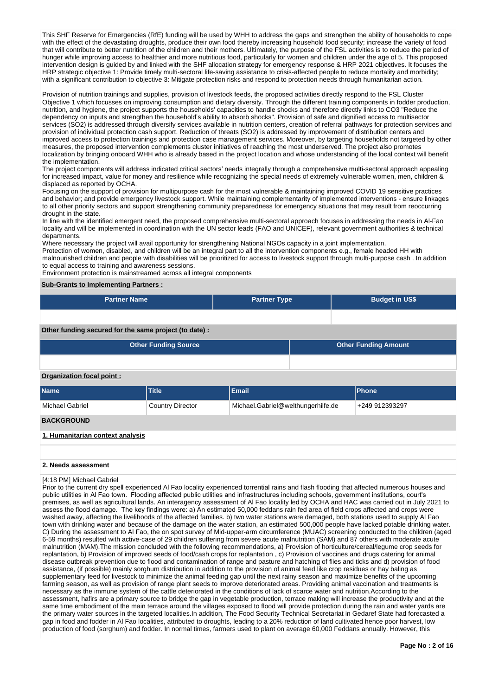This SHF Reserve for Emergencies (RfE) funding will be used by WHH to address the gaps and strengthen the ability of households to cope with the effect of the devastating droughts, produce their own food thereby increasing household food security; increase the variety of food that will contribute to better nutrition of the children and their mothers. Ultimately, the purpose of the FSL activities is to reduce the period of hunger while improving access to healthier and more nutritious food, particularly for women and children under the age of 5. This proposed intervention design is guided by and linked with the SHF allocation strategy for emergency response & HRP 2021 objectives. It focuses the HRP strategic objective 1: Provide timely multi-sectoral life-saving assistance to crisis-affected people to reduce mortality and morbidity; with a significant contribution to objective 3: Mitigate protection risks and respond to protection needs through humanitarian action.

Provision of nutrition trainings and supplies, provision of livestock feeds, the proposed activities directly respond to the FSL Cluster Objective 1 which focusses on improving consumption and dietary diversity. Through the different training components in fodder production, nutrition, and hygiene, the project supports the households' capacities to handle shocks and therefore directly links to CO3 "Reduce the dependency on inputs and strengthen the household's ability to absorb shocks". Provision of safe and dignified access to multisector services (SO2) is addressed through diversify services available in nutrition centers, creation of referral pathways for protection services and provision of individual protection cash support. Reduction of threats (SO2) is addressed by improvement of distribution centers and improved access to protection trainings and protection case management services. Moreover, by targeting households not targeted by other measures, the proposed intervention complements cluster initiatives of reaching the most underserved. The project also promotes localization by bringing onboard WHH who is already based in the project location and whose understanding of the local context will benefit the implementation.

The project components will address indicated critical sectors' needs integrally through a comprehensive multi-sectoral approach appealing for increased impact, value for money and resilience while recognizing the special needs of extremely vulnerable women, men, children & displaced as reported by OCHA.

Focusing on the support of provision for multipurpose cash for the most vulnerable & maintaining improved COVID 19 sensitive practices and behavior; and provide emergency livestock support. While maintaining complementarity of implemented interventions - ensure linkages to all other priority sectors and support strengthening community preparedness for emergency situations that may result from reoccurring drought in the state.

In line with the identified emergent need, the proposed comprehensive multi-sectoral approach focuses in addressing the needs in Al-Fao locality and will be implemented in coordination with the UN sector leads (FAO and UNICEF), relevant government authorities & technical departments.

Where necessary the project will avail opportunity for strengthening National NGOs capacity in a joint implementation.

Protection of women, disabled, and children will be an integral part to all the intervention components e.g., female headed HH with malnourished children and people with disabilities will be prioritized for access to livestock support through multi-purpose cash . In addition to equal access to training and awareness sessions.

Environment protection is mainstreamed across all integral components

## **Sub-Grants to Implementing Partners :**

| <b>Partner Name</b>                                        |                         | <b>Partner Type</b>                |  | <b>Budget in US\$</b> |  |  |  |  |  |  |  |
|------------------------------------------------------------|-------------------------|------------------------------------|--|-----------------------|--|--|--|--|--|--|--|
|                                                            |                         |                                    |  |                       |  |  |  |  |  |  |  |
| Other funding secured for the same project (to date) :     |                         |                                    |  |                       |  |  |  |  |  |  |  |
| <b>Other Funding Source</b><br><b>Other Funding Amount</b> |                         |                                    |  |                       |  |  |  |  |  |  |  |
|                                                            |                         |                                    |  |                       |  |  |  |  |  |  |  |
| Organization focal point:                                  |                         |                                    |  |                       |  |  |  |  |  |  |  |
| <b>Name</b>                                                | Title                   | <b>Email</b>                       |  | <b>Phone</b>          |  |  |  |  |  |  |  |
| <b>Michael Gabriel</b>                                     | <b>Country Director</b> | Michael.Gabriel@welthungerhilfe.de |  | +249 912393297        |  |  |  |  |  |  |  |

# **BACKGROUND**

## **1. Humanitarian context analysis**

## **2. Needs assessment**

#### [4:18 PM] Michael Gabriel

Prior to the current dry spell experienced Al Fao locality experienced torrential rains and flash flooding that affected numerous houses and public utilities in Al Fao town. Flooding affected public utilities and infrastructures including schools, government institutions, court's premises, as well as agricultural lands. An interagency assessment of Al Fao locality led by OCHA and HAC was carried out in July 2021 to assess the flood damage. The key findings were: a) An estimated 50,000 feddans rain fed area of field crops affected and crops were washed away, affecting the livelihoods of the affected families. b) two water stations were damaged, both stations used to supply Al Fao town with drinking water and because of the damage on the water station, an estimated 500,000 people have lacked potable drinking water. C) During the assessment to Al Fao, the on spot survey of Mid-upper-arm circumference (MUAC) screening conducted to the children (aged 6-59 months) resulted with active-case of 29 children suffering from severe acute malnutrition (SAM) and 87 others with moderate acute malnutrition (MAM).The mission concluded with the following recommendations, a) Provision of horticulture/cereal/legume crop seeds for replantation, b) Provision of improved seeds of food/cash crops for replantation , c) Provision of vaccines and drugs catering for animal disease outbreak prevention due to flood and contamination of range and pasture and hatching of flies and ticks and d) provision of food assistance, (if possible) mainly sorghum distribution in addition to the provision of animal feed like crop residues or hay baling as supplementary feed for livestock to minimize the animal feeding gap until the next rainy season and maximize benefits of the upcoming farming season, as well as provision of range plant seeds to improve deteriorated areas. Providing animal vaccination and treatments is necessary as the immune system of the cattle deteriorated in the conditions of lack of scarce water and nutrition.According to the assessment, hafirs are a primary source to bridge the gap in vegetable production, terrace making will increase the productivity and at the same time embodiment of the main terrace around the villages exposed to flood will provide protection during the rain and water yards are the primary water sources in the targeted localities.In addition, The Food Security Technical Secretariat in Gedaref State had forecasted a gap in food and fodder in Al Fao localities, attributed to droughts, leading to a 20% reduction of land cultivated hence poor harvest, low production of food (sorghum) and fodder. In normal times, farmers used to plant on average 60,000 Feddans annually. However, this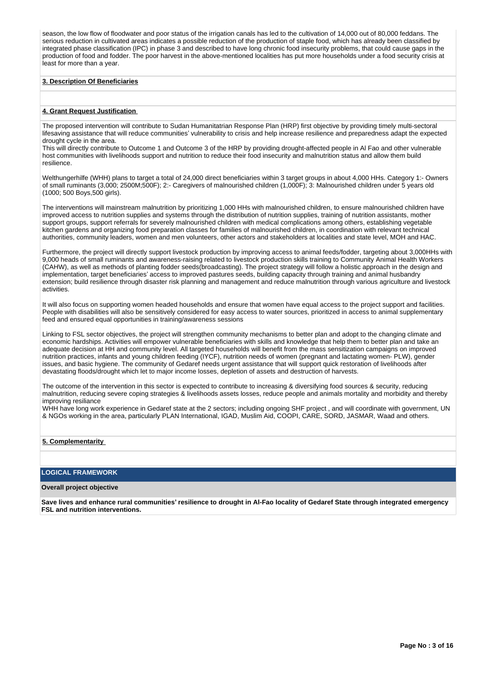season, the low flow of floodwater and poor status of the irrigation canals has led to the cultivation of 14,000 out of 80,000 feddans. The serious reduction in cultivated areas indicates a possible reduction of the production of staple food, which has already been classified by integrated phase classification (IPC) in phase 3 and described to have long chronic food insecurity problems, that could cause gaps in the production of food and fodder. The poor harvest in the above-mentioned localities has put more households under a food security crisis at least for more than a year.

### **3. Description Of Beneficiaries**

#### **4. Grant Request Justification**

The proposed intervention will contribute to Sudan Humanitatrian Response Plan (HRP) first objective by providing timely multi-sectoral lifesaving assistance that will reduce communities' vulnerability to crisis and help increase resilience and preparedness adapt the expected drought cycle in the area.

This will directly contribute to Outcome 1 and Outcome 3 of the HRP by providing drought-affected people in Al Fao and other vulnerable host communities with livelihoods support and nutrition to reduce their food insecurity and malnutrition status and allow them build resilience.

Welthungerhilfe (WHH) plans to target a total of 24,000 direct beneficiaries within 3 target groups in about 4,000 HHs. Category 1:- Owners of small ruminants (3,000; 2500M;500F); 2:- Caregivers of malnourished children (1,000F); 3: Malnourished children under 5 years old (1000; 500 Boys,500 girls).

The interventions will mainstream malnutrition by prioritizing 1,000 HHs with malnourished children, to ensure malnourished children have improved access to nutrition supplies and systems through the distribution of nutrition supplies, training of nutrition assistants, mother support groups, support referrals for severely malnourished children with medical complications among others, establishing vegetable kitchen gardens and organizing food preparation classes for families of malnourished children, in coordination with relevant technical authorities, community leaders, women and men volunteers, other actors and stakeholders at localities and state level, MOH and HAC.

Furthermore, the project will directly support livestock production by improving access to animal feeds/fodder, targeting about 3,000HHs with 9,000 heads of small ruminants and awareness-raising related to livestock production skills training to Community Animal Health Workers (CAHW), as well as methods of planting fodder seeds(broadcasting). The project strategy will follow a holistic approach in the design and implementation, target beneficiaries' access to improved pastures seeds, building capacity through training and animal husbandry extension; build resilience through disaster risk planning and management and reduce malnutrition through various agriculture and livestock activities.

It will also focus on supporting women headed households and ensure that women have equal access to the project support and facilities. People with disabilities will also be sensitively considered for easy access to water sources, prioritized in access to animal supplementary feed and ensured equal opportunities in training/awareness sessions

Linking to FSL sector objectives, the project will strengthen community mechanisms to better plan and adopt to the changing climate and economic hardships. Activities will empower vulnerable beneficiaries with skills and knowledge that help them to better plan and take an adequate decision at HH and community level. All targeted households will benefit from the mass sensitization campaigns on improved nutrition practices, infants and young children feeding (IYCF), nutrition needs of women (pregnant and lactating women- PLW), gender issues, and basic hygiene. The community of Gedaref needs urgent assistance that will support quick restoration of livelihoods after devastating floods/drought which let to major income losses, depletion of assets and destruction of harvests.

The outcome of the intervention in this sector is expected to contribute to increasing & diversifying food sources & security, reducing malnutrition, reducing severe coping strategies & livelihoods assets losses, reduce people and animals mortality and morbidity and thereby improving resiliance

WHH have long work experience in Gedaref state at the 2 sectors; including ongoing SHF project, and will coordinate with government, UN & NGOs working in the area, particularly PLAN International, IGAD, Muslim Aid, COOPI, CARE, SORD, JASMAR, Waad and others.

## **5. Complementarity**

## **LOGICAL FRAMEWORK**

#### **Overall project objective**

**Save lives and enhance rural communities' resilience to drought in Al-Fao locality of Gedaref State through integrated emergency FSL and nutrition interventions.**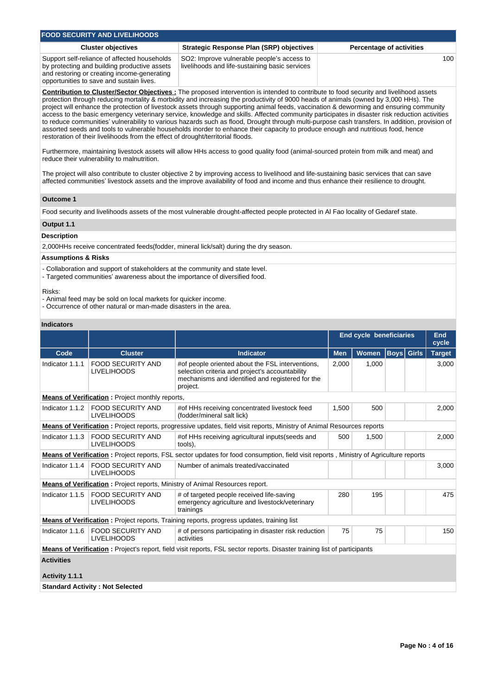| <b>FOOD SECURITY AND LIVELIHOODS</b>                                                                                                                                                    |                                                                                              |                                 |  |  |  |  |  |  |  |  |
|-----------------------------------------------------------------------------------------------------------------------------------------------------------------------------------------|----------------------------------------------------------------------------------------------|---------------------------------|--|--|--|--|--|--|--|--|
| <b>Cluster objectives</b>                                                                                                                                                               | <b>Strategic Response Plan (SRP) objectives</b>                                              | <b>Percentage of activities</b> |  |  |  |  |  |  |  |  |
| Support self-reliance of affected households<br>by protecting and building productive assets<br>and restoring or creating income-generating<br>opportunities to save and sustain lives. | SO2: Improve vulnerable people's access to<br>livelihoods and life-sustaining basic services | 100                             |  |  |  |  |  |  |  |  |

**Contribution to Cluster/Sector Objectives :** The proposed intervention is intended to contribute to food security and livelihood assets protection through reducing mortality & morbidity and increasing the productivity of 9000 heads of animals (owned by 3,000 HHs). The project will enhance the protection of livestock assets through supporting animal feeds, vaccination & deworming and ensuring community access to the basic emergency veterinary service, knowledge and skills. Affected community participates in disaster risk reduction activities to reduce communities' vulnerability to various hazards such as flood, Drought through multi-purpose cash transfers. In addition, provision of assorted seeds and tools to vulnerable households inorder to enhance their capacity to produce enough and nutritious food, hence restoration of their livelihoods from the effect of drought/territorial floods.

Furthermore, maintaining livestock assets will allow HHs access to good quality food (animal-sourced protein from milk and meat) and reduce their vulnerability to malnutrition.

The project will also contribute to cluster objective 2 by improving access to livelihood and life-sustaining basic services that can save affected communities' livestock assets and the improve availability of food and income and thus enhance their resilience to drought.

### **Outcome 1**

Food security and livelihoods assets of the most vulnerable drought-affected people protected in Al Fao locality of Gedaref state.

## **Output 1.1**

### **Description**

2,000HHs receive concentrated feeds(fodder, mineral lick/salt) during the dry season.

### **Assumptions & Risks**

- Collaboration and support of stakeholders at the community and state level.
- Targeted communities' awareness about the importance of diversified food.

Risks:

- Animal feed may be sold on local markets for quicker income.
- Occurrence of other natural or man-made disasters in the area.

# **Indicators**

|                                                        |                                                |                                                                                                                                                                     | <b>End cycle beneficiaries</b> | <b>End</b><br>cycle |                   |       |               |  |  |  |  |
|--------------------------------------------------------|------------------------------------------------|---------------------------------------------------------------------------------------------------------------------------------------------------------------------|--------------------------------|---------------------|-------------------|-------|---------------|--|--|--|--|
| Code                                                   | <b>Cluster</b>                                 | <b>Indicator</b>                                                                                                                                                    | <b>Men</b>                     | <b>Women</b>        | <b>Boys</b> Girls |       | <b>Target</b> |  |  |  |  |
| Indicator 1.1.1                                        | <b>FOOD SECURITY AND</b><br><b>LIVELIHOODS</b> | #of people oriented about the FSL interventions,<br>selection criteria and project's accountability<br>mechanisms and identified and registered for the<br>project. | 2,000                          | 1,000               |                   |       | 3,000         |  |  |  |  |
| <b>Means of Verification:</b> Project monthly reports, |                                                |                                                                                                                                                                     |                                |                     |                   |       |               |  |  |  |  |
| Indicator 1.1.2                                        | <b>FOOD SECURITY AND</b><br><b>LIVELIHOODS</b> | #of HHs receiving concentrated livestock feed<br>(fodder/mineral salt lick)                                                                                         | 1.500                          | 500                 |                   | 2,000 |               |  |  |  |  |
|                                                        |                                                | Means of Verification: Project reports, progressive updates, field visit reports, Ministry of Animal Resources reports                                              |                                |                     |                   |       |               |  |  |  |  |
| Indicator 1.1.3                                        | <b>FOOD SECURITY AND</b><br><b>LIVELIHOODS</b> | #of HHs receiving agricultural inputs (seeds and<br>tools),                                                                                                         | 500                            | 1,500               |                   |       | 2,000         |  |  |  |  |
|                                                        |                                                | Means of Verification: Project reports, FSL sector updates for food consumption, field visit reports, Ministry of Agriculture reports                               |                                |                     |                   |       |               |  |  |  |  |
| Indicator 1.1.4                                        | <b>FOOD SECURITY AND</b><br><b>LIVELIHOODS</b> | Number of animals treated/vaccinated                                                                                                                                |                                |                     |                   |       | 3,000         |  |  |  |  |
|                                                        |                                                | <b>Means of Verification:</b> Project reports, Ministry of Animal Resources report.                                                                                 |                                |                     |                   |       |               |  |  |  |  |
| Indicator 1.1.5                                        | FOOD SECURITY AND<br><b>LIVELIHOODS</b>        | # of targeted people received life-saving<br>emergency agriculture and livestock/veterinary<br>trainings                                                            | 280<br>195                     |                     |                   | 475   |               |  |  |  |  |
|                                                        |                                                | <b>Means of Verification:</b> Project reports, Training reports, progress updates, training list                                                                    |                                |                     |                   |       |               |  |  |  |  |
| Indicator 1.1.6                                        | <b>FOOD SECURITY AND</b><br><b>LIVELIHOODS</b> | # of persons participating in disaster risk reduction<br>activities                                                                                                 | 75                             | 75                  |                   |       | 150           |  |  |  |  |
|                                                        |                                                | <b>Means of Verification:</b> Project's report, field visit reports, FSL sector reports. Disaster training list of participants                                     |                                |                     |                   |       |               |  |  |  |  |
| <b>Activities</b>                                      |                                                |                                                                                                                                                                     |                                |                     |                   |       |               |  |  |  |  |
| Activity 1.1.1                                         |                                                |                                                                                                                                                                     |                                |                     |                   |       |               |  |  |  |  |
|                                                        | <b>Standard Activity: Not Selected</b>         |                                                                                                                                                                     |                                |                     |                   |       |               |  |  |  |  |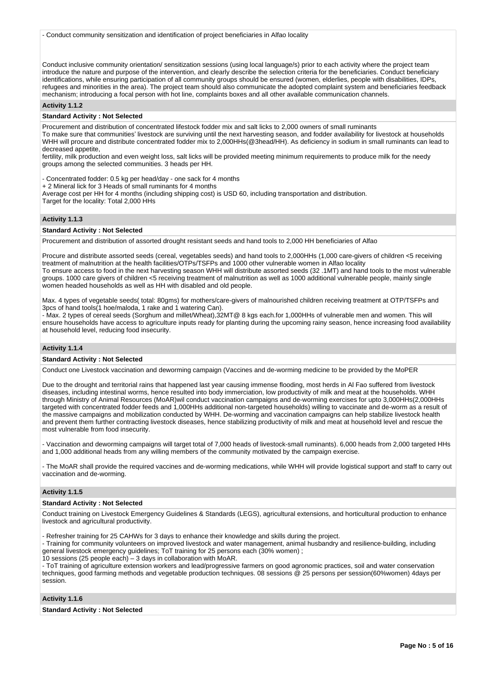- Conduct community sensitization and identification of project beneficiaries in Alfao locality

Conduct inclusive community orientation/ sensitization sessions (using local language/s) prior to each activity where the project team introduce the nature and purpose of the intervention, and clearly describe the selection criteria for the beneficiaries. Conduct beneficiary identifications, while ensuring participation of all community groups should be ensured (women, elderlies, people with disabilities, IDPs, refugees and minorities in the area). The project team should also communicate the adopted complaint system and beneficiaries feedback mechanism; introducing a focal person with hot line, complaints boxes and all other available communication channels.

# **Activity 1.1.2**

## **Standard Activity : Not Selected**

Procurement and distribution of concentrated lifestock fodder mix and salt licks to 2,000 owners of small ruminants

To make sure that communities' livestock are surviving until the next harvesting season, and fodder availability for livestock at households WHH will procure and distribute concentrated fodder mix to 2,000HHs(@3head/HH). As deficiency in sodium in small ruminants can lead to decreased appetite,

fertility, milk production and even weight loss, salt licks will be provided meeting minimum requirements to produce milk for the needy groups among the selected communities. 3 heads per HH.

- Concentrated fodder: 0.5 kg per head/day - one sack for 4 months

+ 2 Mineral lick for 3 Heads of small ruminants for 4 months

Average cost per HH for 4 months (including shipping cost) is USD 60, including transportation and distribution. Target for the locality: Total 2,000 HHs

#### **Activity 1.1.3**

#### **Standard Activity : Not Selected**

Procurement and distribution of assorted drought resistant seeds and hand tools to 2,000 HH beneficiaries of Alfao

Procure and distribute assorted seeds (cereal, vegetables seeds) and hand tools to 2,000HHs (1,000 care-givers of children <5 receiving treatment of malnutrition at the health facilities/OTPs/TSFPs and 1000 other vulnerable women in Alfao locality To ensure access to food in the next harvesting season WHH will distribute assorted seeds (32 .1MT) and hand tools to the most vulnerable groups. 1000 care givers of children <5 receiving treatment of malnutrition as well as 1000 additional vulnerable people, mainly single women headed households as well as HH with disabled and old people.

Max. 4 types of vegetable seeds( total: 80gms) for mothers/care-givers of malnourished children receiving treatment at OTP/TSFPs and 3pcs of hand tools(1 hoe/maloda, 1 rake and 1 watering Can).

- Max. 2 types of cereal seeds (Sorghum and millet/Wheat),32MT@ 8 kgs each.for 1,000HHs of vulnerable men and women. This will ensure households have access to agriculture inputs ready for planting during the upcoming rainy season, hence increasing food availability at household level, reducing food insecurity.

## **Activity 1.1.4**

#### **Standard Activity : Not Selected**

Conduct one Livestock vaccination and deworming campaign (Vaccines and de-worming medicine to be provided by the MoPER

Due to the drought and territorial rains that happened last year causing immense flooding, most herds in Al Fao suffered from livestock diseases, including intestinal worms, hence resulted into body immerciation, low productivity of milk and meat at the households. WHH through Ministry of Animal Resources (MoAR)wil conduct vaccination campaigns and de-worming exercises for upto 3,000HHs(2,000HHs targeted with concentrated fodder feeds and 1,000HHs additional non-targeted households) willing to vaccinate and de-worm as a result of the massive campaigns and mobilization conducted by WHH. De-worming and vaccination campaigns can help stabilize livestock health and prevent them further contracting livestock diseases, hence stabilizing productivity of milk and meat at household level and rescue the most vulnerable from food insecurity.

- Vaccination and deworming campaigns will target total of 7,000 heads of livestock-small ruminants). 6,000 heads from 2,000 targeted HHs and 1,000 additional heads from any willing members of the community motivated by the campaign exercise.

- The MoAR shall provide the required vaccines and de-worming medications, while WHH will provide logistical support and staff to carry out vaccination and de-worming.

#### **Activity 1.1.5**

#### **Standard Activity : Not Selected**

Conduct training on Livestock Emergency Guidelines & Standards (LEGS), agricultural extensions, and horticultural production to enhance livestock and agricultural productivity.

- Refresher training for 25 CAHWs for 3 days to enhance their knowledge and skills during the project.

- Training for community volunteers on improved livestock and water management, animal husbandry and resilience-building, including general livestock emergency guidelines; ToT training for 25 persons each (30% women) ;

10 sessions (25 people each) – 3 days in collaboration with MoAR.

- ToT training of agriculture extension workers and lead/progressive farmers on good agronomic practices, soil and water conservation techniques, good farming methods and vegetable production techniques. 08 sessions @ 25 persons per session(60%women) 4days per session.

## **Activity 1.1.6**

**Standard Activity : Not Selected**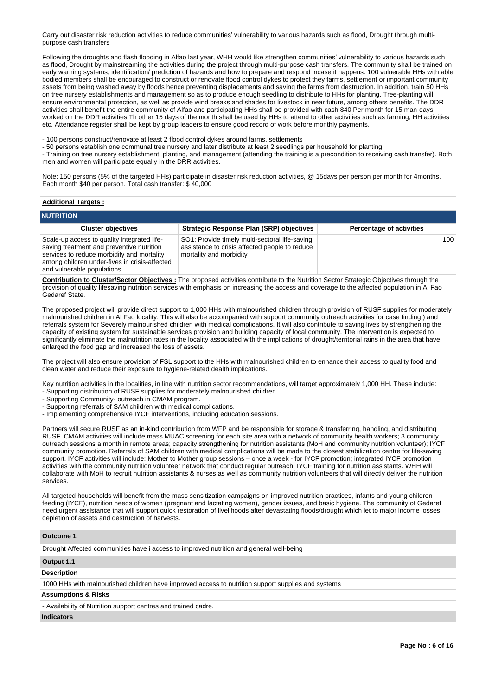Carry out disaster risk reduction activities to reduce communities' vulnerability to various hazards such as flood, Drought through multipurpose cash transfers

Following the droughts and flash flooding in Alfao last year, WHH would like strengthen communities' vulnerability to various hazards such as flood, Drought by mainstreaming the activities during the project through multi-purpose cash transfers. The community shall be trained on early warning systems, identification/ prediction of hazards and how to prepare and respond incase it happens. 100 vulnerable HHs with able bodied members shall be encouraged to construct or renovate flood control dykes to protect they farms, settlement or important community assets from being washed away by floods hence preventing displacements and saving the farms from destruction. In addition, train 50 HHs on tree nursery establishments and management so as to produce enough seedling to distribute to HHs for planting. Tree-planting will ensure environmental protection, as well as provide wind breaks and shades for livestock in near future, among others benefits. The DDR activities shall benefit the entire community of Alfao and participating HHs shall be provided with cash \$40 Per month for 15 man-days worked on the DDR activities.Th other 15 days of the month shall be used by HHs to attend to other activities such as farming, HH activities etc. Attendance register shall be kept by group leaders to ensure good record of work before monthly payments.

- 100 persons construct/renovate at least 2 flood control dykes around farms, settlements

- 50 persons establish one communal tree nursery and later distribute at least 2 seedlings per household for planting.

- Training on tree nursery establishment, planting, and management (attending the training is a precondition to receiving cash transfer). Both men and women will participate equally in the DRR activities.

Note: 150 persons (5% of the targeted HHs) participate in disaster risk reduction activities, @ 15days per person per month for 4months. Each month \$40 per person. Total cash transfer: \$ 40,000

## **Additional Targets :**

| <b>NUTRITION</b>                                                                                                                                                                                                       |                                                                                                                             |                                 |  |  |  |  |  |  |  |  |
|------------------------------------------------------------------------------------------------------------------------------------------------------------------------------------------------------------------------|-----------------------------------------------------------------------------------------------------------------------------|---------------------------------|--|--|--|--|--|--|--|--|
| <b>Cluster objectives</b>                                                                                                                                                                                              | <b>Strategic Response Plan (SRP) objectives</b>                                                                             | <b>Percentage of activities</b> |  |  |  |  |  |  |  |  |
| Scale-up access to quality integrated life-<br>saving treatment and preventive nutrition<br>services to reduce morbidity and mortality<br>among children under-fives in crisis-affected<br>and vulnerable populations. | SO1: Provide timely multi-sectoral life-saving<br>assistance to crisis affected people to reduce<br>mortality and morbidity | 100                             |  |  |  |  |  |  |  |  |

**Contribution to Cluster/Sector Objectives :** The proposed activities contribute to the Nutrition Sector Strategic Objectives through the provision of quality lifesaving nutrition services with emphasis on increasing the access and coverage to the affected population in Al Fao Gedaref State.

The proposed project will provide direct support to 1,000 HHs with malnourished children through provision of RUSF supplies for moderately malnourished children in Al Fao locality; This will also be accompanied with support community outreach activities for case finding ) and referrals system for Severely malnourished children with medical complications. It will also contribute to saving lives by strengthening the capacity of existing system for sustainable services provision and building capacity of local community. The intervention is expected to significantly eliminate the malnutrition rates in the locality associated with the implications of drought/territorial rains in the area that have enlarged the food gap and increased the loss of assets.

The project will also ensure provision of FSL support to the HHs with malnourished children to enhance their access to quality food and clean water and reduce their exposure to hygiene-related dealth implications.

Key nutrition activities in the localities, in line with nutrition sector recommendations, will target approximately 1,000 HH. These include: - Supporting distribution of RUSF supplies for moderately malnourished children

- Supporting Community- outreach in CMAM program.
- Supporting referrals of SAM children with medical complications.
- Implementing comprehensive IYCF interventions, including education sessions.

Partners will secure RUSF as an in-kind contribution from WFP and be responsible for storage & transferring, handling, and distributing RUSF. CMAM activities will include mass MUAC screening for each site area with a network of community health workers; 3 community outreach sessions a month in remote areas; capacity strengthening for nutrition assistants (MoH and community nutrition volunteer); IYCF community promotion. Referrals of SAM children with medical complications will be made to the closest stabilization centre for life-saving support. IYCF activities will include: Mother to Mother group sessions – once a week - for IYCF promotion; integrated IYCF promotion activities with the community nutrition volunteer network that conduct regular outreach; IYCF training for nutrition assistants. WHH will collaborate with MoH to recruit nutrition assistants & nurses as well as community nutrition volunteers that will directly deliver the nutrition services.

All targeted households will benefit from the mass sensitization campaigns on improved nutrition practices, infants and young children feeding (IYCF), nutrition needs of women (pregnant and lactating women), gender issues, and basic hygiene. The community of Gedaref need urgent assistance that will support quick restoration of livelihoods after devastating floods/drought which let to major income losses, depletion of assets and destruction of harvests.

#### **Outcome 1**

Drought Affected communities have i access to improved nutrition and general well-being

#### **Output 1.1**

#### **Description**

1000 HHs with malnourished children have improved access to nutrition support supplies and systems

# **Assumptions & Risks**

- Availability of Nutrition support centres and trained cadre.

## **Indicators**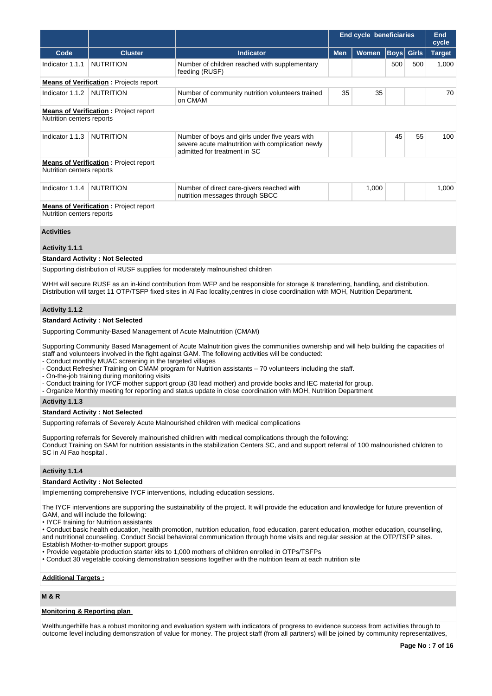|                                                                                                                                                                                                                                                                                                                                                                                                                                                                                                                                                                                                                                                                                                                                                                                                                                                                       |                                                                                                             |                                                                                                                                                                                                                                                                                                                                                                                                                                                                                                                                                                                                 | End cycle beneficiaries | <b>End</b><br>cycle |             |              |               |  |  |  |  |
|-----------------------------------------------------------------------------------------------------------------------------------------------------------------------------------------------------------------------------------------------------------------------------------------------------------------------------------------------------------------------------------------------------------------------------------------------------------------------------------------------------------------------------------------------------------------------------------------------------------------------------------------------------------------------------------------------------------------------------------------------------------------------------------------------------------------------------------------------------------------------|-------------------------------------------------------------------------------------------------------------|-------------------------------------------------------------------------------------------------------------------------------------------------------------------------------------------------------------------------------------------------------------------------------------------------------------------------------------------------------------------------------------------------------------------------------------------------------------------------------------------------------------------------------------------------------------------------------------------------|-------------------------|---------------------|-------------|--------------|---------------|--|--|--|--|
| Code                                                                                                                                                                                                                                                                                                                                                                                                                                                                                                                                                                                                                                                                                                                                                                                                                                                                  | <b>Cluster</b>                                                                                              | <b>Indicator</b>                                                                                                                                                                                                                                                                                                                                                                                                                                                                                                                                                                                | <b>Men</b>              | Women               | <b>Boys</b> | <b>Girls</b> | <b>Target</b> |  |  |  |  |
| Indicator 1.1.1                                                                                                                                                                                                                                                                                                                                                                                                                                                                                                                                                                                                                                                                                                                                                                                                                                                       | <b>NUTRITION</b>                                                                                            | Number of children reached with supplementary<br>feeding (RUSF)                                                                                                                                                                                                                                                                                                                                                                                                                                                                                                                                 |                         |                     | 500         | 500          | 1,000         |  |  |  |  |
|                                                                                                                                                                                                                                                                                                                                                                                                                                                                                                                                                                                                                                                                                                                                                                                                                                                                       | <b>Means of Verification:</b> Projects report                                                               |                                                                                                                                                                                                                                                                                                                                                                                                                                                                                                                                                                                                 |                         |                     |             |              |               |  |  |  |  |
| Indicator 1.1.2                                                                                                                                                                                                                                                                                                                                                                                                                                                                                                                                                                                                                                                                                                                                                                                                                                                       | <b>NUTRITION</b>                                                                                            | Number of community nutrition volunteers trained<br>on CMAM                                                                                                                                                                                                                                                                                                                                                                                                                                                                                                                                     | 35                      | 35                  |             |              | 70            |  |  |  |  |
|                                                                                                                                                                                                                                                                                                                                                                                                                                                                                                                                                                                                                                                                                                                                                                                                                                                                       | <b>Means of Verification:</b> Project report<br>Nutrition centers reports                                   |                                                                                                                                                                                                                                                                                                                                                                                                                                                                                                                                                                                                 |                         |                     |             |              |               |  |  |  |  |
| Indicator 1.1.3                                                                                                                                                                                                                                                                                                                                                                                                                                                                                                                                                                                                                                                                                                                                                                                                                                                       | <b>NUTRITION</b>                                                                                            | Number of boys and girls under five years with<br>severe acute malnutrition with complication newly<br>admitted for treatment in SC                                                                                                                                                                                                                                                                                                                                                                                                                                                             |                         |                     | 45          |              | 100           |  |  |  |  |
| Nutrition centers reports                                                                                                                                                                                                                                                                                                                                                                                                                                                                                                                                                                                                                                                                                                                                                                                                                                             | <b>Means of Verification:</b> Project report                                                                |                                                                                                                                                                                                                                                                                                                                                                                                                                                                                                                                                                                                 |                         |                     |             |              |               |  |  |  |  |
| Indicator 1.1.4                                                                                                                                                                                                                                                                                                                                                                                                                                                                                                                                                                                                                                                                                                                                                                                                                                                       | <b>NUTRITION</b>                                                                                            | Number of direct care-givers reached with<br>nutrition messages through SBCC                                                                                                                                                                                                                                                                                                                                                                                                                                                                                                                    |                         | 1,000               |             |              | 1,000         |  |  |  |  |
| Nutrition centers reports                                                                                                                                                                                                                                                                                                                                                                                                                                                                                                                                                                                                                                                                                                                                                                                                                                             | <b>Means of Verification:</b> Project report                                                                |                                                                                                                                                                                                                                                                                                                                                                                                                                                                                                                                                                                                 |                         |                     |             |              |               |  |  |  |  |
| <b>Activities</b>                                                                                                                                                                                                                                                                                                                                                                                                                                                                                                                                                                                                                                                                                                                                                                                                                                                     |                                                                                                             |                                                                                                                                                                                                                                                                                                                                                                                                                                                                                                                                                                                                 |                         |                     |             |              |               |  |  |  |  |
| Activity 1.1.1                                                                                                                                                                                                                                                                                                                                                                                                                                                                                                                                                                                                                                                                                                                                                                                                                                                        |                                                                                                             |                                                                                                                                                                                                                                                                                                                                                                                                                                                                                                                                                                                                 |                         |                     |             |              |               |  |  |  |  |
|                                                                                                                                                                                                                                                                                                                                                                                                                                                                                                                                                                                                                                                                                                                                                                                                                                                                       | <b>Standard Activity: Not Selected</b>                                                                      |                                                                                                                                                                                                                                                                                                                                                                                                                                                                                                                                                                                                 |                         |                     |             |              |               |  |  |  |  |
|                                                                                                                                                                                                                                                                                                                                                                                                                                                                                                                                                                                                                                                                                                                                                                                                                                                                       |                                                                                                             | Supporting distribution of RUSF supplies for moderately malnourished children                                                                                                                                                                                                                                                                                                                                                                                                                                                                                                                   |                         |                     |             |              |               |  |  |  |  |
|                                                                                                                                                                                                                                                                                                                                                                                                                                                                                                                                                                                                                                                                                                                                                                                                                                                                       |                                                                                                             | WHH will secure RUSF as an in-kind contribution from WFP and be responsible for storage & transferring, handling, and distribution.<br>Distribution will target 11 OTP/TSFP fixed sites in AI Fao locality, centres in close coordination with MOH, Nutrition Department.                                                                                                                                                                                                                                                                                                                       |                         |                     |             |              |               |  |  |  |  |
| Activity 1.1.2                                                                                                                                                                                                                                                                                                                                                                                                                                                                                                                                                                                                                                                                                                                                                                                                                                                        |                                                                                                             |                                                                                                                                                                                                                                                                                                                                                                                                                                                                                                                                                                                                 |                         |                     |             |              |               |  |  |  |  |
|                                                                                                                                                                                                                                                                                                                                                                                                                                                                                                                                                                                                                                                                                                                                                                                                                                                                       | <b>Standard Activity: Not Selected</b>                                                                      |                                                                                                                                                                                                                                                                                                                                                                                                                                                                                                                                                                                                 |                         |                     |             |              |               |  |  |  |  |
|                                                                                                                                                                                                                                                                                                                                                                                                                                                                                                                                                                                                                                                                                                                                                                                                                                                                       | Supporting Community-Based Management of Acute Malnutrition (CMAM)                                          |                                                                                                                                                                                                                                                                                                                                                                                                                                                                                                                                                                                                 |                         |                     |             |              |               |  |  |  |  |
|                                                                                                                                                                                                                                                                                                                                                                                                                                                                                                                                                                                                                                                                                                                                                                                                                                                                       | - Conduct monthly MUAC screening in the targeted villages<br>- On-the-job training during monitoring visits | Supporting Community Based Management of Acute Malnutrition gives the communities ownership and will help building the capacities of<br>staff and volunteers involved in the fight against GAM. The following activities will be conducted:<br>- Conduct Refresher Training on CMAM program for Nutrition assistants - 70 volunteers including the staff.<br>- Conduct training for IYCF mother support group (30 lead mother) and provide books and IEC material for group.<br>- Organize Monthly meeting for reporting and status update in close coordination with MOH, Nutrition Department |                         |                     |             |              |               |  |  |  |  |
| Activity 1.1.3                                                                                                                                                                                                                                                                                                                                                                                                                                                                                                                                                                                                                                                                                                                                                                                                                                                        |                                                                                                             |                                                                                                                                                                                                                                                                                                                                                                                                                                                                                                                                                                                                 |                         |                     |             |              |               |  |  |  |  |
|                                                                                                                                                                                                                                                                                                                                                                                                                                                                                                                                                                                                                                                                                                                                                                                                                                                                       | <b>Standard Activity: Not Selected</b>                                                                      |                                                                                                                                                                                                                                                                                                                                                                                                                                                                                                                                                                                                 |                         |                     |             |              |               |  |  |  |  |
| SC in Al Fao hospital.                                                                                                                                                                                                                                                                                                                                                                                                                                                                                                                                                                                                                                                                                                                                                                                                                                                |                                                                                                             | Supporting referrals of Severely Acute Malnourished children with medical complications<br>Supporting referrals for Severely malnourished children with medical complications through the following:<br>Conduct Training on SAM for nutrition assistants in the stabilization Centers SC, and and support referral of 100 malnourished children to                                                                                                                                                                                                                                              |                         |                     |             |              |               |  |  |  |  |
| Activity 1.1.4                                                                                                                                                                                                                                                                                                                                                                                                                                                                                                                                                                                                                                                                                                                                                                                                                                                        |                                                                                                             |                                                                                                                                                                                                                                                                                                                                                                                                                                                                                                                                                                                                 |                         |                     |             |              |               |  |  |  |  |
|                                                                                                                                                                                                                                                                                                                                                                                                                                                                                                                                                                                                                                                                                                                                                                                                                                                                       | <b>Standard Activity: Not Selected</b>                                                                      |                                                                                                                                                                                                                                                                                                                                                                                                                                                                                                                                                                                                 |                         |                     |             |              |               |  |  |  |  |
|                                                                                                                                                                                                                                                                                                                                                                                                                                                                                                                                                                                                                                                                                                                                                                                                                                                                       |                                                                                                             |                                                                                                                                                                                                                                                                                                                                                                                                                                                                                                                                                                                                 |                         |                     |             |              |               |  |  |  |  |
| Implementing comprehensive IYCF interventions, including education sessions.<br>The IYCF interventions are supporting the sustainability of the project. It will provide the education and knowledge for future prevention of<br>GAM, and will include the following:<br>• IYCF training for Nutrition assistants<br>• Conduct basic health education, health promotion, nutrition education, food education, parent education, mother education, counselling,<br>and nutritional counseling. Conduct Social behavioral communication through home visits and regular session at the OTP/TSFP sites.<br>Establish Mother-to-mother support groups<br>• Provide vegetable production starter kits to 1,000 mothers of children enrolled in OTPs/TSFPs<br>• Conduct 30 vegetable cooking demonstration sessions together with the nutrition team at each nutrition site |                                                                                                             |                                                                                                                                                                                                                                                                                                                                                                                                                                                                                                                                                                                                 |                         |                     |             |              |               |  |  |  |  |

# **Additional Targets :**

# **M & R**

# **Monitoring & Reporting plan**

Welthungerhilfe has a robust monitoring and evaluation system with indicators of progress to evidence success from activities through to outcome level including demonstration of value for money. The project staff (from all partners) will be joined by community representatives,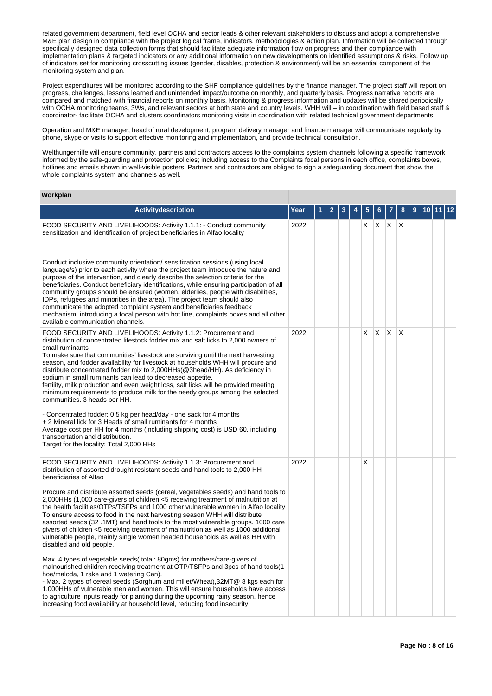related government department, field level OCHA and sector leads & other relevant stakeholders to discuss and adopt a comprehensive M&E plan design in compliance with the project logical frame, indicators, methodologies & action plan. Information will be collected through specifically designed data collection forms that should facilitate adequate information flow on progress and their compliance with implementation plans & targeted indicators or any additional information on new developments on identified assumptions & risks. Follow up of indicators set for monitoring crosscutting issues (gender, disables, protection & environment) will be an essential component of the monitoring system and plan.

Project expenditures will be monitored according to the SHF compliance guidelines by the finance manager. The project staff will report on progress, challenges, lessons learned and unintended impact/outcome on monthly, and quarterly basis. Progress narrative reports are compared and matched with financial reports on monthly basis. Monitoring & progress information and updates will be shared periodically with OCHA monitoring teams, 3Ws, and relevant sectors at both state and country levels. WHH will – in coordination with field based staff & coordinator- facilitate OCHA and clusters coordinators monitoring visits in coordination with related technical government departments.

Operation and M&E manager, head of rural development, program delivery manager and finance manager will communicate regularly by phone, skype or visits to support effective monitoring and implementation, and provide technical consultation.

Welthungerhilfe will ensure community, partners and contractors access to the complaints system channels following a specific framework informed by the safe-guarding and protection policies; including access to the Complaints focal persons in each office, complaints boxes, hotlines and emails shown in well-visible posters. Partners and contractors are obliged to sign a safeguarding document that show the whole complaints system and channels as well.

# **Workplan**

| <b>Activitydescription</b>                                                                                                                                                                                                                                                                                                                                                                                                                                                                                                                                                                                                                                                                                                                                                                                                                                                                                                                                                                                     | Year |  |  | 5  |    |             | 8  |  |  |
|----------------------------------------------------------------------------------------------------------------------------------------------------------------------------------------------------------------------------------------------------------------------------------------------------------------------------------------------------------------------------------------------------------------------------------------------------------------------------------------------------------------------------------------------------------------------------------------------------------------------------------------------------------------------------------------------------------------------------------------------------------------------------------------------------------------------------------------------------------------------------------------------------------------------------------------------------------------------------------------------------------------|------|--|--|----|----|-------------|----|--|--|
| FOOD SECURITY AND LIVELIHOODS: Activity 1.1.1: - Conduct community<br>sensitization and identification of project beneficiaries in Alfao locality                                                                                                                                                                                                                                                                                                                                                                                                                                                                                                                                                                                                                                                                                                                                                                                                                                                              | 2022 |  |  | X. |    | $X$ $X$ $X$ |    |  |  |
| Conduct inclusive community orientation/ sensitization sessions (using local<br>language/s) prior to each activity where the project team introduce the nature and<br>purpose of the intervention, and clearly describe the selection criteria for the<br>beneficiaries. Conduct beneficiary identifications, while ensuring participation of all<br>community groups should be ensured (women, elderlies, people with disabilities,<br>IDPs, refugees and minorities in the area). The project team should also<br>communicate the adopted complaint system and beneficiaries feedback<br>mechanism; introducing a focal person with hot line, complaints boxes and all other<br>available communication channels.                                                                                                                                                                                                                                                                                            |      |  |  |    |    |             |    |  |  |
| FOOD SECURITY AND LIVELIHOODS: Activity 1.1.2: Procurement and<br>distribution of concentrated lifestock fodder mix and salt licks to 2,000 owners of<br>small ruminants<br>To make sure that communities' livestock are surviving until the next harvesting<br>season, and fodder availability for livestock at households WHH will procure and<br>distribute concentrated fodder mix to 2,000HHs (@3head/HH). As deficiency in<br>sodium in small ruminants can lead to decreased appetite,<br>fertility, milk production and even weight loss, salt licks will be provided meeting<br>minimum requirements to produce milk for the needy groups among the selected<br>communities. 3 heads per HH.<br>- Concentrated fodder: 0.5 kg per head/day - one sack for 4 months<br>+ 2 Mineral lick for 3 Heads of small ruminants for 4 months<br>Average cost per HH for 4 months (including shipping cost) is USD 60, including<br>transportation and distribution.<br>Target for the locality: Total 2,000 HHs | 2022 |  |  | X  | X. | ΙX.         | ΙX |  |  |
| FOOD SECURITY AND LIVELIHOODS: Activity 1.1.3: Procurement and<br>distribution of assorted drought resistant seeds and hand tools to 2,000 HH<br>beneficiaries of Alfao<br>Procure and distribute assorted seeds (cereal, vegetables seeds) and hand tools to<br>2,000HHs (1,000 care-givers of children <5 receiving treatment of malnutrition at<br>the health facilities/OTPs/TSFPs and 1000 other vulnerable women in Alfao locality<br>To ensure access to food in the next harvesting season WHH will distribute<br>assorted seeds (32 .1MT) and hand tools to the most vulnerable groups. 1000 care<br>givers of children <5 receiving treatment of malnutrition as well as 1000 additional<br>vulnerable people, mainly single women headed households as well as HH with<br>disabled and old people.<br>Max. 4 types of vegetable seeds( total: 80gms) for mothers/care-givers of                                                                                                                     | 2022 |  |  | X  |    |             |    |  |  |
| malnourished children receiving treatment at OTP/TSFPs and 3pcs of hand tools(1<br>hoe/maloda, 1 rake and 1 watering Can).<br>- Max. 2 types of cereal seeds (Sorghum and millet/Wheat),32MT@ 8 kgs each.for<br>1,000 HHs of vulnerable men and women. This will ensure households have access<br>to agriculture inputs ready for planting during the upcoming rainy season, hence<br>increasing food availability at household level, reducing food insecurity.                                                                                                                                                                                                                                                                                                                                                                                                                                                                                                                                               |      |  |  |    |    |             |    |  |  |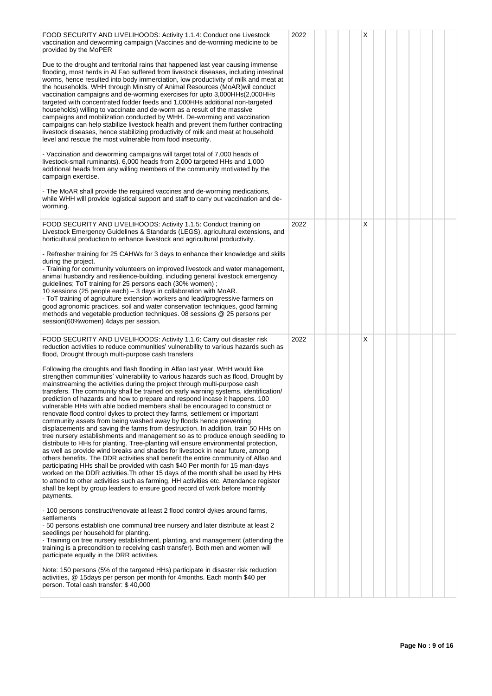| FOOD SECURITY AND LIVELIHOODS: Activity 1.1.4: Conduct one Livestock<br>vaccination and deworming campaign (Vaccines and de-worming medicine to be<br>provided by the MoPER<br>Due to the drought and territorial rains that happened last year causing immense<br>flooding, most herds in AI Fao suffered from livestock diseases, including intestinal<br>worms, hence resulted into body immerciation, low productivity of milk and meat at<br>the households. WHH through Ministry of Animal Resources (MoAR) wil conduct<br>vaccination campaigns and de-worming exercises for upto 3,000HHs(2,000HHs)<br>targeted with concentrated fodder feeds and 1,000HHs additional non-targeted<br>households) willing to vaccinate and de-worm as a result of the massive<br>campaigns and mobilization conducted by WHH. De-worming and vaccination<br>campaigns can help stabilize livestock health and prevent them further contracting<br>livestock diseases, hence stabilizing productivity of milk and meat at household<br>level and rescue the most vulnerable from food insecurity.<br>- Vaccination and deworming campaigns will target total of 7,000 heads of<br>livestock-small ruminants). 6,000 heads from 2,000 targeted HHs and 1,000<br>additional heads from any willing members of the community motivated by the<br>campaign exercise.<br>- The MoAR shall provide the required vaccines and de-worming medications,<br>while WHH will provide logistical support and staff to carry out vaccination and de-<br>worming.                                                                                                                                                                                                                                                                                                                                                                                                                                                                                                                                                                                                                                                                                                                                                                                                          | 2022 |  | X |  |  |  |
|-----------------------------------------------------------------------------------------------------------------------------------------------------------------------------------------------------------------------------------------------------------------------------------------------------------------------------------------------------------------------------------------------------------------------------------------------------------------------------------------------------------------------------------------------------------------------------------------------------------------------------------------------------------------------------------------------------------------------------------------------------------------------------------------------------------------------------------------------------------------------------------------------------------------------------------------------------------------------------------------------------------------------------------------------------------------------------------------------------------------------------------------------------------------------------------------------------------------------------------------------------------------------------------------------------------------------------------------------------------------------------------------------------------------------------------------------------------------------------------------------------------------------------------------------------------------------------------------------------------------------------------------------------------------------------------------------------------------------------------------------------------------------------------------------------------------------------------------------------------------------------------------------------------------------------------------------------------------------------------------------------------------------------------------------------------------------------------------------------------------------------------------------------------------------------------------------------------------------------------------------------------------------------------------------------------------------------------------------------|------|--|---|--|--|--|
| FOOD SECURITY AND LIVELIHOODS: Activity 1.1.5: Conduct training on<br>Livestock Emergency Guidelines & Standards (LEGS), agricultural extensions, and<br>horticultural production to enhance livestock and agricultural productivity.<br>- Refresher training for 25 CAHWs for 3 days to enhance their knowledge and skills<br>during the project.<br>- Training for community volunteers on improved livestock and water management,<br>animal husbandry and resilience-building, including general livestock emergency<br>guidelines; ToT training for 25 persons each (30% women);<br>10 sessions (25 people each) – 3 days in collaboration with MoAR.<br>- ToT training of agriculture extension workers and lead/progressive farmers on<br>good agronomic practices, soil and water conservation techniques, good farming<br>methods and vegetable production techniques. 08 sessions @ 25 persons per<br>session(60%women) 4days per session.                                                                                                                                                                                                                                                                                                                                                                                                                                                                                                                                                                                                                                                                                                                                                                                                                                                                                                                                                                                                                                                                                                                                                                                                                                                                                                                                                                                                | 2022 |  | X |  |  |  |
| FOOD SECURITY AND LIVELIHOODS: Activity 1.1.6: Carry out disaster risk<br>reduction activities to reduce communities' vulnerability to various hazards such as<br>flood, Drought through multi-purpose cash transfers<br>Following the droughts and flash flooding in Alfao last year, WHH would like<br>strengthen communities' vulnerability to various hazards such as flood, Drought by<br>mainstreaming the activities during the project through multi-purpose cash<br>transfers. The community shall be trained on early warning systems, identification/<br>prediction of hazards and how to prepare and respond incase it happens. 100<br>vulnerable HHs with able bodied members shall be encouraged to construct or<br>renovate flood control dykes to protect they farms, settlement or important<br>community assets from being washed away by floods hence preventing<br>displacements and saving the farms from destruction. In addition, train 50 HHs on<br>tree nursery establishments and management so as to produce enough seedling to<br>distribute to HHs for planting. Tree-planting will ensure environmental protection,<br>as well as provide wind breaks and shades for livestock in near future, among<br>others benefits. The DDR activities shall benefit the entire community of Alfao and<br>participating HHs shall be provided with cash \$40 Per month for 15 man-days<br>worked on the DDR activities. Th other 15 days of the month shall be used by HHs<br>to attend to other activities such as farming, HH activities etc. Attendance register<br>shall be kept by group leaders to ensure good record of work before monthly<br>payments.<br>- 100 persons construct/renovate at least 2 flood control dykes around farms,<br>settlements<br>- 50 persons establish one communal tree nursery and later distribute at least 2<br>seedlings per household for planting.<br>- Training on tree nursery establishment, planting, and management (attending the<br>training is a precondition to receiving cash transfer). Both men and women will<br>participate equally in the DRR activities.<br>Note: 150 persons (5% of the targeted HHs) participate in disaster risk reduction<br>activities, @ 15 days per person per month for 4 months. Each month \$40 per<br>person. Total cash transfer: \$40,000 | 2022 |  | X |  |  |  |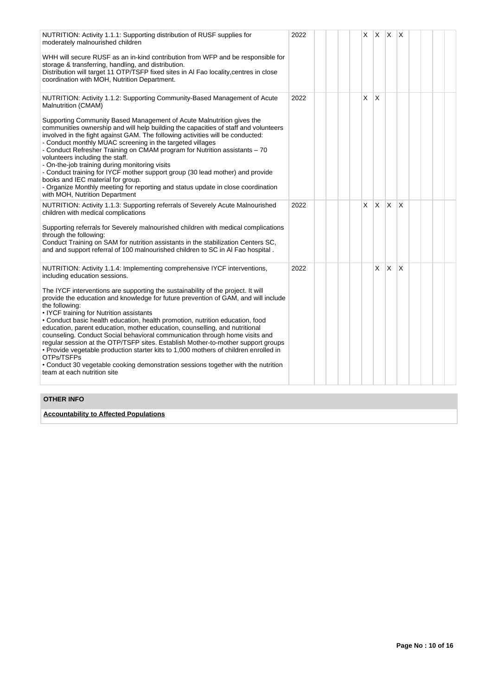| NUTRITION: Activity 1.1.1: Supporting distribution of RUSF supplies for<br>moderately malnourished children                                                                                                                                                                                                                                                                                                                                                                                                                                                                                                                                                                                                                                                                                       | 2022 | X. |          | $X$ $X$ $X$ |              |  |  |
|---------------------------------------------------------------------------------------------------------------------------------------------------------------------------------------------------------------------------------------------------------------------------------------------------------------------------------------------------------------------------------------------------------------------------------------------------------------------------------------------------------------------------------------------------------------------------------------------------------------------------------------------------------------------------------------------------------------------------------------------------------------------------------------------------|------|----|----------|-------------|--------------|--|--|
| WHH will secure RUSF as an in-kind contribution from WFP and be responsible for<br>storage & transferring, handling, and distribution.<br>Distribution will target 11 OTP/TSFP fixed sites in AI Fao locality, centres in close<br>coordination with MOH, Nutrition Department.                                                                                                                                                                                                                                                                                                                                                                                                                                                                                                                   |      |    |          |             |              |  |  |
| NUTRITION: Activity 1.1.2: Supporting Community-Based Management of Acute<br>Malnutrition (CMAM)                                                                                                                                                                                                                                                                                                                                                                                                                                                                                                                                                                                                                                                                                                  | 2022 | X  | X        |             |              |  |  |
| Supporting Community Based Management of Acute Malnutrition gives the<br>communities ownership and will help building the capacities of staff and volunteers<br>involved in the fight against GAM. The following activities will be conducted:<br>- Conduct monthly MUAC screening in the targeted villages<br>- Conduct Refresher Training on CMAM program for Nutrition assistants - 70<br>volunteers including the staff.<br>- On-the-job training during monitoring visits<br>- Conduct training for IYCF mother support group (30 lead mother) and provide<br>books and IEC material for group.<br>- Organize Monthly meeting for reporting and status update in close coordination<br>with MOH, Nutrition Department                                                                        |      |    |          |             |              |  |  |
| NUTRITION: Activity 1.1.3: Supporting referrals of Severely Acute Malnourished<br>children with medical complications                                                                                                                                                                                                                                                                                                                                                                                                                                                                                                                                                                                                                                                                             | 2022 | X  | <b>X</b> | X.          | $\mathsf{x}$ |  |  |
| Supporting referrals for Severely malnourished children with medical complications<br>through the following:<br>Conduct Training on SAM for nutrition assistants in the stabilization Centers SC,<br>and and support referral of 100 malnourished children to SC in AI Fao hospital.                                                                                                                                                                                                                                                                                                                                                                                                                                                                                                              |      |    |          |             |              |  |  |
| NUTRITION: Activity 1.1.4: Implementing comprehensive IYCF interventions,<br>including education sessions.                                                                                                                                                                                                                                                                                                                                                                                                                                                                                                                                                                                                                                                                                        | 2022 |    | X        | <b>X</b>    | X            |  |  |
| The IYCF interventions are supporting the sustainability of the project. It will<br>provide the education and knowledge for future prevention of GAM, and will include<br>the following:<br>• IYCF training for Nutrition assistants<br>• Conduct basic health education, health promotion, nutrition education, food<br>education, parent education, mother education, counselling, and nutritional<br>counseling. Conduct Social behavioral communication through home visits and<br>regular session at the OTP/TSFP sites. Establish Mother-to-mother support groups<br>. Provide vegetable production starter kits to 1,000 mothers of children enrolled in<br>OTPs/TSFPs<br>• Conduct 30 vegetable cooking demonstration sessions together with the nutrition<br>team at each nutrition site |      |    |          |             |              |  |  |

# **OTHER INFO**

**Accountability to Affected Populations**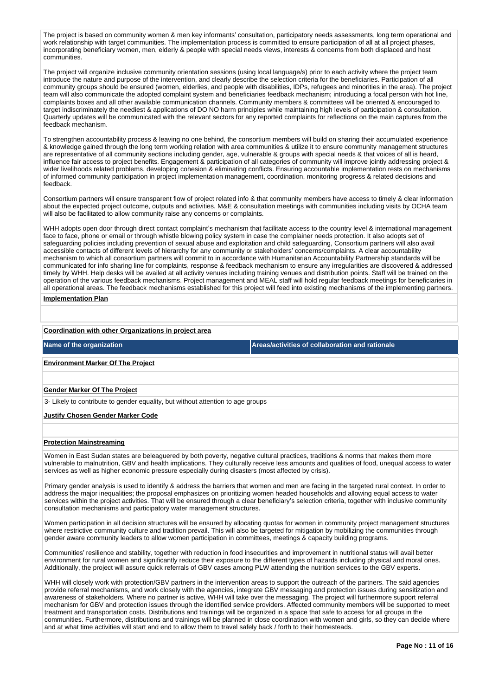The project is based on community women & men key informants' consultation, participatory needs assessments, long term operational and work relationship with target communities. The implementation process is committed to ensure participation of all at all project phases. incorporating beneficiary women, men, elderly & people with special needs views, interests & concerns from both displaced and host communities.

The project will organize inclusive community orientation sessions (using local language/s) prior to each activity where the project team introduce the nature and purpose of the intervention, and clearly describe the selection criteria for the beneficiaries. Participation of all community groups should be ensured (women, elderlies, and people with disabilities, IDPs, refugees and minorities in the area). The project team will also communicate the adopted complaint system and beneficiaries feedback mechanism; introducing a focal person with hot line, complaints boxes and all other available communication channels. Community members & committees will be oriented & encouraged to target indiscriminately the neediest & applications of DO NO harm principles while maintaining high levels of participation & consultation. Quarterly updates will be communicated with the relevant sectors for any reported complaints for reflections on the main captures from the feedback mechanism.

To strengthen accountability process & leaving no one behind, the consortium members will build on sharing their accumulated experience & knowledge gained through the long term working relation with area communities & utilize it to ensure community management structures are representative of all community sections including gender, age, vulnerable & groups with special needs & that voices of all is heard, influence fair access to project benefits. Engagement & participation of all categories of community will improve jointly addressing project & wider livelihoods related problems, developing cohesion & eliminating conflicts. Ensuring accountable implementation rests on mechanisms of informed community participation in project implementation management, coordination, monitoring progress & related decisions and feedback.

Consortium partners will ensure transparent flow of project related info & that community members have access to timely & clear information about the expected project outcome, outputs and activities. M&E & consultation meetings with communities including visits by OCHA team will also be facilitated to allow community raise any concerns or complaints.

WHH adopts open door through direct contact complaint's mechanism that facilitate access to the country level & international management face to face, phone or email or through whistle blowing policy system in case the complainer needs protection. It also adopts set of safeguarding policies including prevention of sexual abuse and exploitation and child safeguarding, Consortium partners will also avail accessible contacts of different levels of hierarchy for any community or stakeholders' concerns/complaints. A clear accountability mechanism to which all consortium partners will commit to in accordance with Humanitarian Accountability Partnership standards will be communicated for info sharing line for complaints, response & feedback mechanism to ensure any irregularities are discovered & addressed timely by WHH. Help desks will be availed at all activity venues including training venues and distribution points. Staff will be trained on the operation of the various feedback mechanisms. Project management and MEAL staff will hold regular feedback meetings for beneficiaries in all operational areas. The feedback mechanisms established for this project will feed into existing mechanisms of the implementing partners.

#### **Implementation Plan**

#### **Coordination with other Organizations in project area**

**Name of the organization Areas/activities of collaboration and rationale** 

#### **Environment Marker Of The Project**

### **Gender Marker Of The Project**

3- Likely to contribute to gender equality, but without attention to age groups

#### **Justify Chosen Gender Marker Code**

#### **Protection Mainstreaming**

Women in East Sudan states are beleaguered by both poverty, negative cultural practices, traditions & norms that makes them more vulnerable to malnutrition, GBV and health implications. They culturally receive less amounts and qualities of food, unequal access to water services as well as higher economic pressure especially during disasters (most affected by crisis).

Primary gender analysis is used to identify & address the barriers that women and men are facing in the targeted rural context. In order to address the major inequalities; the proposal emphasizes on prioritizing women headed households and allowing equal access to water services within the project activities. That will be ensured through a clear beneficiary's selection criteria, together with inclusive community consultation mechanisms and participatory water management structures.

Women participation in all decision structures will be ensured by allocating quotas for women in community project management structures where restrictive community culture and tradition prevail. This will also be targeted for mitigation by mobilizing the communities through gender aware community leaders to allow women participation in committees, meetings & capacity building programs.

Communities' resilience and stability, together with reduction in food insecurities and improvement in nutritional status will avail better environment for rural women and significantly reduce their exposure to the different types of hazards including physical and moral ones. Additionally, the project will assure quick referrals of GBV cases among PLW attending the nutrition services to the GBV experts.

WHH will closely work with protection/GBV partners in the intervention areas to support the outreach of the partners. The said agencies provide referral mechanisms, and work closely with the agencies, integrate GBV messaging and protection issues during sensitization and awareness of stakeholders. Where no partner is active, WHH will take over the messaging. The project will furthermore support referral mechanism for GBV and protection issues through the identified service providers. Affected community members will be supported to meet treatment and transportation costs. Distributions and trainings will be organized in a space that safe to access for all groups in the communities. Furthermore, distributions and trainings will be planned in close coordination with women and girls, so they can decide where and at what time activities will start and end to allow them to travel safely back / forth to their homesteads.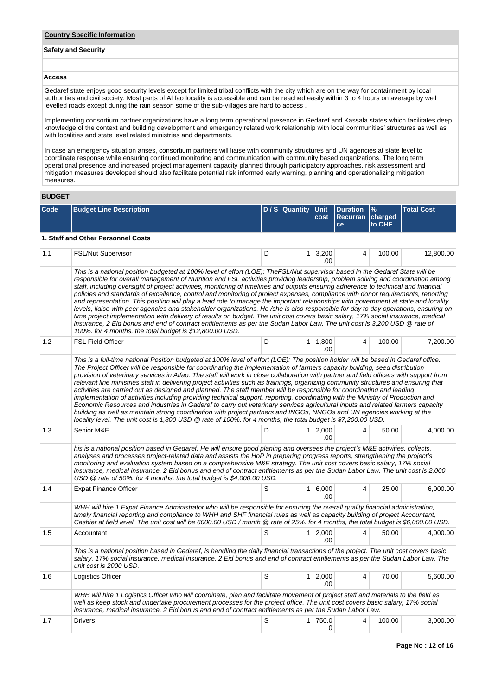#### **Country Specific Information**

# **Safety and Security**

## **Access**

Gedaref state enjoys good security levels except for limited tribal conflicts with the city which are on the way for containment by local authorities and civil society. Most parts of Al fao locality is accessible and can be reached easily within 3 to 4 hours on average by well levelled roads except during the rain season some of the sub-villages are hard to access .

Implementing consortium partner organizations have a long term operational presence in Gedaref and Kassala states which facilitates deep knowledge of the context and building development and emergency related work relationship with local communities' structures as well as with localities and state level related ministries and departments.

In case an emergency situation arises, consortium partners will liaise with community structures and UN agencies at state level to coordinate response while ensuring continued monitoring and communication with community based organizations. The long term operational presence and increased project management capacity planned through participatory approaches, risk assessment and mitigation measures developed should also facilitate potential risk informed early warning, planning and operationalizing mitigation measures.

# **BUDGET**

| Code | <b>Budget Line Description</b>                                                                                                                                                                                                                                                                                                                                                                                                                                                                                                                                                                                                                                                                                                                                                                                                                                                                                                                                                                                                                                                                                                                                                               |   | D / S Quantity Unit | cost                    | <b>Duration</b><br><b>Recurran</b><br>ce | $\frac{9}{6}$<br>charged<br>to CHF | <b>Total Cost</b> |  |  |  |  |  |
|------|----------------------------------------------------------------------------------------------------------------------------------------------------------------------------------------------------------------------------------------------------------------------------------------------------------------------------------------------------------------------------------------------------------------------------------------------------------------------------------------------------------------------------------------------------------------------------------------------------------------------------------------------------------------------------------------------------------------------------------------------------------------------------------------------------------------------------------------------------------------------------------------------------------------------------------------------------------------------------------------------------------------------------------------------------------------------------------------------------------------------------------------------------------------------------------------------|---|---------------------|-------------------------|------------------------------------------|------------------------------------|-------------------|--|--|--|--|--|
|      | 1. Staff and Other Personnel Costs                                                                                                                                                                                                                                                                                                                                                                                                                                                                                                                                                                                                                                                                                                                                                                                                                                                                                                                                                                                                                                                                                                                                                           |   |                     |                         |                                          |                                    |                   |  |  |  |  |  |
| 1.1  | FSL/Nut Supervisor                                                                                                                                                                                                                                                                                                                                                                                                                                                                                                                                                                                                                                                                                                                                                                                                                                                                                                                                                                                                                                                                                                                                                                           | D | 1 <sup>1</sup>      | 3,200<br>.00            | 4                                        | 100.00                             | 12.800.00         |  |  |  |  |  |
|      | This is a national position budgeted at 100% level of effort (LOE): TheFSL/Nut supervisor based in the Gedaref State will be<br>responsible for overall management of Nutrition and FSL activities providing leadership, problem solving and coordination among<br>staff, including oversight of project activities, monitoring of timelines and outputs ensuring adherence to technical and financial<br>policies and standards of excellence, control and monitoring of project expenses, compliance with donor requirements, reporting<br>and representation. This position will play a lead role to manage the important relationships with government at state and locality<br>levels, liaise with peer agencies and stakeholder organizations. He /she is also responsible for day to day operations, ensuring on<br>time project implementation with delivery of results on budget. The unit cost covers basic salary, 17% social insurance, medical<br>insurance, 2 Eid bonus and end of contract entitlements as per the Sudan Labor Law. The unit cost is 3,200 USD @ rate of<br>100%. for 4 months, the total budget is \$12,800.00 USD.                                          |   |                     |                         |                                          |                                    |                   |  |  |  |  |  |
| 1.2  | <b>FSL Field Officer</b>                                                                                                                                                                                                                                                                                                                                                                                                                                                                                                                                                                                                                                                                                                                                                                                                                                                                                                                                                                                                                                                                                                                                                                     | D |                     | $1 \mid 1,800$<br>.00   | 4                                        | 100.00                             | 7,200.00          |  |  |  |  |  |
|      | This is a full-time national Position budgeted at 100% level of effort (LOE): The position holder will be based in Gedaref office.<br>The Project Officer will be responsible for coordinating the implementation of farmers capacity building, seed distribution<br>provision of veterinary services in Alfao. The staff will work in close collaboration with partner and field officers with support from<br>relevant line ministries staff in delivering project activities such as trainings, organizing community structures and ensuring that<br>activities are carried out as designed and planned. The staff member will be responsible for coordinating and leading<br>implementation of activities including providing technical support, reporting, coordinating with the Ministry of Production and<br>Economic Resources and industries in Gaderef to carry out veterinary services agricultural inputs and related farmers capacity<br>building as well as maintain strong coordination with project partners and INGOs, NNGOs and UN agencies working at the<br>locality level. The unit cost is 1,800 USD @ rate of 100%. for 4 months, the total budget is \$7,200.00 USD. |   |                     |                         |                                          |                                    |                   |  |  |  |  |  |
| 1.3  | Senior M&E                                                                                                                                                                                                                                                                                                                                                                                                                                                                                                                                                                                                                                                                                                                                                                                                                                                                                                                                                                                                                                                                                                                                                                                   | D |                     | $1 \ 2,000$<br>.00      | 4                                        | 50.00                              | 4,000.00          |  |  |  |  |  |
|      | his is a national position based in Gedaref. He will ensure good planing and oversees the project's M&E activities, collects,<br>analyses and processes project-related data and assists the HoP in preparing progress reports, strengthening the project's<br>monitoring and evaluation system based on a comprehensive M&E strategy. The unit cost covers basic salary, 17% social<br>insurance, medical insurance, 2 Eid bonus and end of contract entitlements as per the Sudan Labor Law. The unit cost is 2,000<br>USD @ rate of 50%. for 4 months, the total budget is \$4,000.00 USD.                                                                                                                                                                                                                                                                                                                                                                                                                                                                                                                                                                                                |   |                     |                         |                                          |                                    |                   |  |  |  |  |  |
| 1.4  | <b>Expat Finance Officer</b>                                                                                                                                                                                                                                                                                                                                                                                                                                                                                                                                                                                                                                                                                                                                                                                                                                                                                                                                                                                                                                                                                                                                                                 | S |                     | 1 6,000<br>.00.         | $\overline{4}$                           | 25.00                              | 6,000.00          |  |  |  |  |  |
|      | WHH will hire 1 Expat Finance Administrator who will be responsible for ensuring the overall quality financial administration,<br>timely financial reporting and compliance to WHH and SHF financial rules as well as capacity building of project Accountant,<br>Cashier at field level. The unit cost will be 6000.00 USD / month @ rate of 25%. for 4 months, the total budget is \$6,000.00 USD.                                                                                                                                                                                                                                                                                                                                                                                                                                                                                                                                                                                                                                                                                                                                                                                         |   |                     |                         |                                          |                                    |                   |  |  |  |  |  |
| 1.5  | Accountant                                                                                                                                                                                                                                                                                                                                                                                                                                                                                                                                                                                                                                                                                                                                                                                                                                                                                                                                                                                                                                                                                                                                                                                   | S |                     | $1 \mid 2,000$<br>.00   | 4                                        | 50.00                              | 4.000.00          |  |  |  |  |  |
|      | This is a national position based in Gedaref, is handling the daily financial transactions of the project. The unit cost covers basic<br>salary, 17% social insurance, medical insurance, 2 Eid bonus and end of contract entitlements as per the Sudan Labor Law. The<br>unit cost is 2000 USD.                                                                                                                                                                                                                                                                                                                                                                                                                                                                                                                                                                                                                                                                                                                                                                                                                                                                                             |   |                     |                         |                                          |                                    |                   |  |  |  |  |  |
| 1.6  | Logistics Officer                                                                                                                                                                                                                                                                                                                                                                                                                                                                                                                                                                                                                                                                                                                                                                                                                                                                                                                                                                                                                                                                                                                                                                            | S |                     | $1 \quad 2,000$<br>.00. | 4                                        | 70.00                              | 5,600.00          |  |  |  |  |  |
|      | WHH will hire 1 Logistics Officer who will coordinate, plan and facilitate movement of project staff and materials to the field as<br>well as keep stock and undertake procurement processes for the project office. The unit cost covers basic salary, 17% social<br>insurance, medical insurance, 2 Eid bonus and end of contract entitlements as per the Sudan Labor Law.                                                                                                                                                                                                                                                                                                                                                                                                                                                                                                                                                                                                                                                                                                                                                                                                                 |   |                     |                         |                                          |                                    |                   |  |  |  |  |  |
| 1.7  | <b>Drivers</b>                                                                                                                                                                                                                                                                                                                                                                                                                                                                                                                                                                                                                                                                                                                                                                                                                                                                                                                                                                                                                                                                                                                                                                               | S |                     | 1 750.0<br>0            | 4                                        | 100.00                             | 3,000.00          |  |  |  |  |  |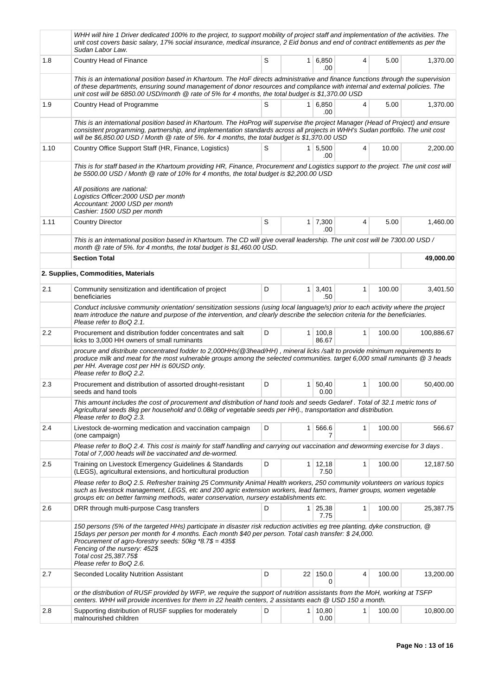|      | WHH will hire 1 Driver dedicated 100% to the project, to support mobility of project staff and implementation of the activities. The<br>unit cost covers basic salary, 17% social insurance, medical insurance, 2 Eid bonus and end of contract entitlements as per the<br>Sudan Labor Law.                                                                                             |   |                |                        |              |        |            |  |  |  |
|------|-----------------------------------------------------------------------------------------------------------------------------------------------------------------------------------------------------------------------------------------------------------------------------------------------------------------------------------------------------------------------------------------|---|----------------|------------------------|--------------|--------|------------|--|--|--|
| 1.8  | Country Head of Finance                                                                                                                                                                                                                                                                                                                                                                 | S | 1 <sup>1</sup> | 6,850<br>.00           | 4            | 5.00   | 1,370.00   |  |  |  |
|      | This is an international position based in Khartoum. The HoF directs administrative and finance functions through the supervision<br>of these departments, ensuring sound management of donor resources and compliance with internal and external policies. The<br>unit cost will be 6850.00 USD/month @ rate of 5% for 4 months, the total budget is \$1,370.00 USD                    |   |                |                        |              |        |            |  |  |  |
| 1.9  | Country Head of Programme                                                                                                                                                                                                                                                                                                                                                               | S |                | $1 \, 6.850$<br>.00    | 4            | 5.00   | 1,370.00   |  |  |  |
|      | This is an international position based in Khartoum. The HoProg will supervise the project Manager (Head of Project) and ensure<br>consistent programming, partnership, and implementation standards across all projects in WHH's Sudan portfolio. The unit cost<br>will be \$6,850.00 USD / Month $@$ rate of 5%. for 4 months, the total budget is \$1,370.00 USD                     |   |                |                        |              |        |            |  |  |  |
| 1.10 | Country Office Support Staff (HR, Finance, Logistics)                                                                                                                                                                                                                                                                                                                                   | S |                | $1 \, 5,500$<br>.00    | 4            | 10.00  | 2,200.00   |  |  |  |
|      | This is for staff based in the Khartoum providing HR, Finance, Procurement and Logistics support to the project. The unit cost will<br>be 5500.00 USD / Month @ rate of 10% for 4 months, the total budget is \$2,200.00 USD<br>All positions are national:<br>Logistics Officer:2000 USD per month<br>Accountant: 2000 USD per month<br>Cashier: 1500 USD per month                    |   |                |                        |              |        |            |  |  |  |
| 1.11 | <b>Country Director</b>                                                                                                                                                                                                                                                                                                                                                                 | S |                | $1 \mid 7,300$<br>.00  | 4            | 5.00   | 1,460.00   |  |  |  |
|      | This is an international position based in Khartoum. The CD will give overall leadership. The unit cost will be 7300.00 USD /<br>month @ rate of 5%, for 4 months, the total budget is \$1,460.00 USD.                                                                                                                                                                                  |   |                |                        |              |        |            |  |  |  |
|      | <b>Section Total</b>                                                                                                                                                                                                                                                                                                                                                                    |   |                |                        |              |        | 49,000.00  |  |  |  |
|      | 2. Supplies, Commodities, Materials                                                                                                                                                                                                                                                                                                                                                     |   |                |                        |              |        |            |  |  |  |
| 2.1  | Community sensitization and identification of project<br>beneficiaries                                                                                                                                                                                                                                                                                                                  | D | 1 <sup>1</sup> | 3,401<br>.50           | $\mathbf{1}$ | 100.00 | 3,401.50   |  |  |  |
|      | Conduct inclusive community orientation/sensitization sessions (using local language/s) prior to each activity where the project<br>team introduce the nature and purpose of the intervention, and clearly describe the selection criteria for the beneficiaries.<br>Please refer to BoQ 2.1.                                                                                           |   |                |                        |              |        |            |  |  |  |
| 2.2  | Procurement and distribution fodder concentrates and salt<br>licks to 3,000 HH owners of small ruminants                                                                                                                                                                                                                                                                                | D | 1 <sup>1</sup> | 100,8<br>86.67         | 1            | 100.00 | 100,886.67 |  |  |  |
|      | procure and distribute concentrated fodder to 2,000HHs(@3head/HH), mineral licks /salt to provide minimum requirements to<br>produce milk and meat for the most vulnerable groups among the selected communities. target 6,000 small ruminants @ 3 heads<br>per HH. Average cost per HH is 60USD only.<br>Please refer to BoQ 2.2.                                                      |   |                |                        |              |        |            |  |  |  |
| 2.3  | Procurement and distribution of assorted drought-resistant<br>seeds and hand tools                                                                                                                                                                                                                                                                                                      | D | 1 <sup>1</sup> | 50,40<br>0.00          | $\mathbf{1}$ | 100.00 | 50.400.00  |  |  |  |
|      | This amount includes the cost of procurement and distribution of hand tools and seeds Gedaref. Total of 32.1 metric tons of<br>Agricultural seeds 8kg per household and 0.08kg of vegetable seeds per HH)., transportation and distribution.<br>Please refer to BoQ 2.3.                                                                                                                |   |                |                        |              |        |            |  |  |  |
| 2.4  | Livestock de-worming medication and vaccination campaign<br>(one campaign)                                                                                                                                                                                                                                                                                                              | D | $\mathbf{1}$   | 566.6                  | 1            | 100.00 | 566.67     |  |  |  |
|      | Please refer to BoQ 2.4. This cost is mainly for staff handling and carrying out vaccination and deworming exercise for 3 days.<br>Total of 7,000 heads will be vaccinated and de-wormed.                                                                                                                                                                                               |   |                |                        |              |        |            |  |  |  |
| 2.5  | Training on Livestock Emergency Guidelines & Standards<br>(LEGS), agricultural extensions, and horticultural production                                                                                                                                                                                                                                                                 | D |                | $1 \mid 12,18$<br>7.50 | 1            | 100.00 | 12,187.50  |  |  |  |
|      | Please refer to BoQ 2.5. Refresher training 25 Community Animal Health workers, 250 community volunteers on various topics<br>such as livestock management, LEGS, etc and 200 agric extension workers, lead farmers, framer groups, women vegetable<br>groups etc on better farming methods, water conservation, nursery establishments etc.                                            |   |                |                        |              |        |            |  |  |  |
| 2.6  | DRR through multi-purpose Casg transfers                                                                                                                                                                                                                                                                                                                                                | D | 1 <sup>1</sup> | 25,38<br>7.75          | 1            | 100.00 | 25,387.75  |  |  |  |
|      | 150 persons (5% of the targeted HHs) participate in disaster risk reduction activities eg tree planting, dyke construction, @<br>15days per person per month for 4 months. Each month \$40 per person. Total cash transfer: \$24,000.<br>Procurement of agro-forestry seeds: 50kg *8.7\$ = 435\$<br>Fencing of the nursery: 452\$<br>Total cost 25,387.75\$<br>Please refer to BoQ 2.6. |   |                |                        |              |        |            |  |  |  |
| 2.7  | Seconded Locality Nutrition Assistant                                                                                                                                                                                                                                                                                                                                                   | D |                | 22 150.0<br>0          | 4            | 100.00 | 13,200.00  |  |  |  |
|      | or the distribution of RUSF provided by WFP, we require the support of nutrition assistants from the MoH, working at TSFP<br>centers. WHH will provide incentives for them in 22 health centers, 2 assistants each @ USD 150 a month.                                                                                                                                                   |   |                |                        |              |        |            |  |  |  |
| 2.8  | Supporting distribution of RUSF supplies for moderately<br>malnourished children                                                                                                                                                                                                                                                                                                        | D | 1 <sup>1</sup> | 10,80<br>0.00          | 1            | 100.00 | 10,800.00  |  |  |  |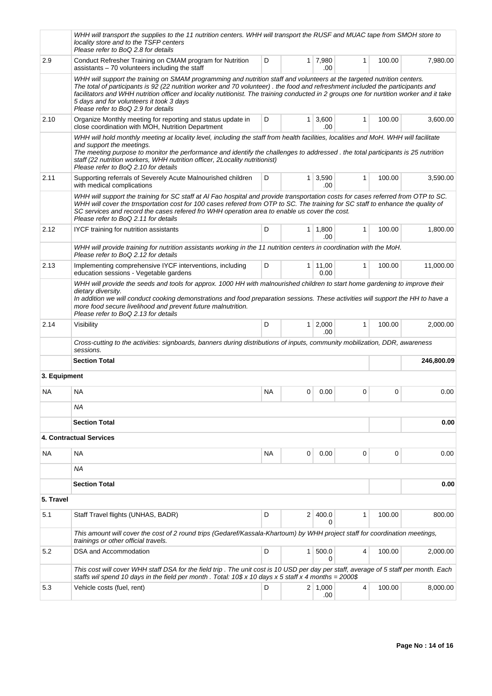|              | WHH will transport the supplies to the 11 nutrition centers. WHH will transport the RUSF and MUAC tape from SMOH store to<br>locality store and to the TSFP centers<br>Please refer to BoQ 2.8 for details                                                                                                                                                                                                                                                                               |           |                |                       |              |        |            |
|--------------|------------------------------------------------------------------------------------------------------------------------------------------------------------------------------------------------------------------------------------------------------------------------------------------------------------------------------------------------------------------------------------------------------------------------------------------------------------------------------------------|-----------|----------------|-----------------------|--------------|--------|------------|
| 2.9          | Conduct Refresher Training on CMAM program for Nutrition<br>assistants $-70$ volunteers including the staff                                                                                                                                                                                                                                                                                                                                                                              | D         |                | 1 7,980<br>.00        | 1            | 100.00 | 7,980.00   |
|              | WHH will support the training on SMAM programming and nutrition staff and volunteers at the targeted nutrition centers.<br>The total of participants is 92 (22 nutrition worker and 70 volunteer). the food and refreshment included the participants and<br>facilitators and WHH nutrition officer and locality nutitionist. The training conducted in 2 groups one for nurtition worker and it take<br>5 days and for volunteers it took 3 days<br>Please refer to BoQ 2.9 for details |           |                |                       |              |        |            |
| 2.10         | Organize Monthly meeting for reporting and status update in<br>close coordination with MOH, Nutrition Department                                                                                                                                                                                                                                                                                                                                                                         | D         | 1 <sup>1</sup> | 3,600<br>.00          | 1            | 100.00 | 3,600.00   |
|              | WHH will hold monthly meeting at locality level, including the staff from health facilities, localities and MoH. WHH will facilitate<br>and support the meetings.<br>The meeting purpose to monitor the performance and identify the challenges to addressed . the total participants is 25 nutrition<br>staff (22 nutrition workers, WHH nutrition officer, 2Locality nutritionist)<br>Please refer to BoQ 2.10 for details                                                             |           |                |                       |              |        |            |
| 2.11         | Supporting referrals of Severely Acute Malnourished children<br>with medical complications                                                                                                                                                                                                                                                                                                                                                                                               | D         |                | $1 \mid 3,590$<br>.00 | 1            | 100.00 | 3,590.00   |
|              | WHH will support the training for SC staff at AI Fao hospital and provide transportation costs for cases referred from OTP to SC.<br>WHH will cover the trnsportation cost for 100 cases refered from OTP to SC. The training for SC staff to enhance the quality of<br>SC services and record the cases refered fro WHH operation area to enable us cover the cost.<br>Please refer to BoQ 2.11 for details                                                                             |           |                |                       |              |        |            |
| 2.12         | IYCF training for nutrition assistants                                                                                                                                                                                                                                                                                                                                                                                                                                                   | D         |                | $1 \mid 1,800$<br>.00 | 1            | 100.00 | 1,800.00   |
|              | WHH will provide training for nutrition assistants working in the 11 nutrition centers in coordination with the MoH.<br>Please refer to BoQ 2.12 for details                                                                                                                                                                                                                                                                                                                             |           |                |                       |              |        |            |
| 2.13         | Implementing comprehensive IYCF interventions, including<br>education sessions - Vegetable gardens                                                                                                                                                                                                                                                                                                                                                                                       | D         |                | 1   11,00<br>0.00     | $\mathbf{1}$ | 100.00 | 11,000.00  |
| 2.14         | In addition we will conduct cooking demonstrations and food preparation sessions. These activities will support the HH to have a<br>more food secure livelihood and prevent future malnutrition.<br>Please refer to BoQ 2.13 for details<br>Visibility<br>Cross-cutting to the activities: signboards, banners during distributions of inputs, community mobilization, DDR, awareness                                                                                                    | D         | 1 <sup>1</sup> | 2,000<br>.00          | 1            | 100.00 | 2,000.00   |
|              | sessions.<br><b>Section Total</b>                                                                                                                                                                                                                                                                                                                                                                                                                                                        |           |                |                       |              |        | 246,800.09 |
| 3. Equipment |                                                                                                                                                                                                                                                                                                                                                                                                                                                                                          |           |                |                       |              |        |            |
| ΝA           | NA                                                                                                                                                                                                                                                                                                                                                                                                                                                                                       | <b>NA</b> | 0              | 0.00                  | 0            | 0      | 0.00       |
|              | ΝA                                                                                                                                                                                                                                                                                                                                                                                                                                                                                       |           |                |                       |              |        |            |
|              | <b>Section Total</b>                                                                                                                                                                                                                                                                                                                                                                                                                                                                     |           |                |                       |              |        | 0.00       |
|              | 4. Contractual Services                                                                                                                                                                                                                                                                                                                                                                                                                                                                  |           |                |                       |              |        |            |
| NA           | <b>NA</b>                                                                                                                                                                                                                                                                                                                                                                                                                                                                                | <b>NA</b> | 0              | 0.00                  | 0            | 0      | 0.00       |
|              | ΝA                                                                                                                                                                                                                                                                                                                                                                                                                                                                                       |           |                |                       |              |        |            |
|              | <b>Section Total</b>                                                                                                                                                                                                                                                                                                                                                                                                                                                                     |           |                |                       |              |        | 0.00       |
| 5. Travel    |                                                                                                                                                                                                                                                                                                                                                                                                                                                                                          |           |                |                       |              |        |            |
| 5.1          | Staff Travel flights (UNHAS, BADR)                                                                                                                                                                                                                                                                                                                                                                                                                                                       | D         | 2 <sup>1</sup> | 400.0<br>0            | $\mathbf{1}$ | 100.00 | 800.00     |
|              | This amount will cover the cost of 2 round trips (Gedaref/Kassala-Khartoum) by WHH project staff for coordination meetings,<br>trainings or other official travels.                                                                                                                                                                                                                                                                                                                      |           |                |                       |              |        |            |
| 5.2          | DSA and Accommodation                                                                                                                                                                                                                                                                                                                                                                                                                                                                    | D         | $\mathbf{1}$   | 500.0<br>0            | 4            | 100.00 | 2,000.00   |
|              | This cost will cover WHH staff DSA for the field trip. The unit cost is 10 USD per day per staff, average of 5 staff per month. Each<br>staffs wil spend 10 days in the field per month . Total: $10\$ x 10 days x 5 staff x 4 months = 2000\$                                                                                                                                                                                                                                           |           |                |                       |              |        |            |
| 5.3          | Vehicle costs (fuel, rent)                                                                                                                                                                                                                                                                                                                                                                                                                                                               | D         |                | 2 1,000<br>.00        | 4            | 100.00 | 8,000.00   |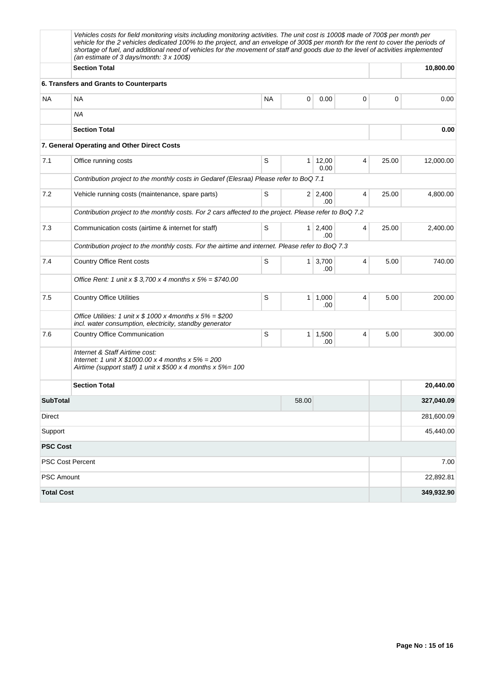|                         | Vehicles costs for field monitoring visits including monitoring activities. The unit cost is 1000\$ made of 700\$ per month per<br>vehicle for the 2 vehicles dedicated 100% to the project, and an envelope of 300\$ per month for the rent to cover the periods of<br>shortage of fuel, and additional need of vehicles for the movement of staff and goods due to the level of activities implemented<br>(an estimate of 3 days/month: $3 \times 100\$ ) |           |                |                       |   |       |            |
|-------------------------|-------------------------------------------------------------------------------------------------------------------------------------------------------------------------------------------------------------------------------------------------------------------------------------------------------------------------------------------------------------------------------------------------------------------------------------------------------------|-----------|----------------|-----------------------|---|-------|------------|
|                         | <b>Section Total</b>                                                                                                                                                                                                                                                                                                                                                                                                                                        |           | 10,800.00      |                       |   |       |            |
|                         | 6. Transfers and Grants to Counterparts                                                                                                                                                                                                                                                                                                                                                                                                                     |           |                |                       |   |       |            |
| NA                      | ΝA                                                                                                                                                                                                                                                                                                                                                                                                                                                          | <b>NA</b> | 0              | 0.00                  | 0 | 0     | 0.00       |
|                         | ΝA                                                                                                                                                                                                                                                                                                                                                                                                                                                          |           |                |                       |   |       |            |
|                         | <b>Section Total</b>                                                                                                                                                                                                                                                                                                                                                                                                                                        |           |                |                       |   |       | 0.00       |
|                         | 7. General Operating and Other Direct Costs                                                                                                                                                                                                                                                                                                                                                                                                                 |           |                |                       |   |       |            |
| 7.1                     | Office running costs                                                                                                                                                                                                                                                                                                                                                                                                                                        | S         | $\mathbf 1$    | 12,00<br>0.00         | 4 | 25.00 | 12,000.00  |
|                         | Contribution project to the monthly costs in Gedaref (Elesraa) Please refer to BoQ 7.1                                                                                                                                                                                                                                                                                                                                                                      |           |                |                       |   |       |            |
| 7.2                     | Vehicle running costs (maintenance, spare parts)                                                                                                                                                                                                                                                                                                                                                                                                            | S         |                | $2 \mid 2,400$<br>.00 | 4 | 25.00 | 4,800.00   |
|                         | Contribution project to the monthly costs. For 2 cars affected to the project. Please refer to BoQ 7.2                                                                                                                                                                                                                                                                                                                                                      |           |                |                       |   |       |            |
| 7.3                     | Communication costs (airtime & internet for staff)                                                                                                                                                                                                                                                                                                                                                                                                          | S         | 1 <sup>1</sup> | 2,400<br>.00          | 4 | 25.00 | 2,400.00   |
|                         | Contribution project to the monthly costs. For the airtime and internet. Please refer to BoQ 7.3                                                                                                                                                                                                                                                                                                                                                            |           |                |                       |   |       |            |
| 7.4                     | Country Office Rent costs                                                                                                                                                                                                                                                                                                                                                                                                                                   | S         | 1 <sup>1</sup> | 3,700<br>.00          | 4 | 5.00  | 740.00     |
|                         | Office Rent: 1 unit x $$3,700 \times 4$ months x $5\% = $740.00$                                                                                                                                                                                                                                                                                                                                                                                            |           |                |                       |   |       |            |
| 7.5                     | <b>Country Office Utilities</b>                                                                                                                                                                                                                                                                                                                                                                                                                             | S         | $\mathbf{1}$   | 1,000<br>.00          | 4 | 5.00  | 200.00     |
|                         | Office Utilities: 1 unit x \$ 1000 x 4 months x $5\%$ = \$200<br>incl. water consumption, electricity, standby generator                                                                                                                                                                                                                                                                                                                                    |           |                |                       |   |       |            |
| 7.6                     | <b>Country Office Communication</b>                                                                                                                                                                                                                                                                                                                                                                                                                         | S         | 1 <sup>1</sup> | 1,500<br>.00          | 4 | 5.00  | 300.00     |
|                         | Internet & Staff Airtime cost:<br>Internet: 1 unit $X $1000.00 x 4$ months $x 5% = 200$<br>Airtime (support staff) 1 unit x $$500 \times 4$ months x $5\% = 100$                                                                                                                                                                                                                                                                                            |           |                |                       |   |       |            |
|                         | <b>Section Total</b>                                                                                                                                                                                                                                                                                                                                                                                                                                        |           |                |                       |   |       | 20,440.00  |
| <b>SubTotal</b>         |                                                                                                                                                                                                                                                                                                                                                                                                                                                             |           | 58.00          |                       |   |       | 327,040.09 |
| Direct                  |                                                                                                                                                                                                                                                                                                                                                                                                                                                             |           |                |                       |   |       | 281,600.09 |
| Support                 |                                                                                                                                                                                                                                                                                                                                                                                                                                                             |           |                |                       |   |       | 45,440.00  |
| <b>PSC Cost</b>         |                                                                                                                                                                                                                                                                                                                                                                                                                                                             |           |                |                       |   |       |            |
| <b>PSC Cost Percent</b> |                                                                                                                                                                                                                                                                                                                                                                                                                                                             |           |                |                       |   |       | 7.00       |
| PSC Amount              |                                                                                                                                                                                                                                                                                                                                                                                                                                                             |           |                |                       |   |       | 22,892.81  |
| <b>Total Cost</b>       |                                                                                                                                                                                                                                                                                                                                                                                                                                                             |           |                |                       |   |       | 349,932.90 |